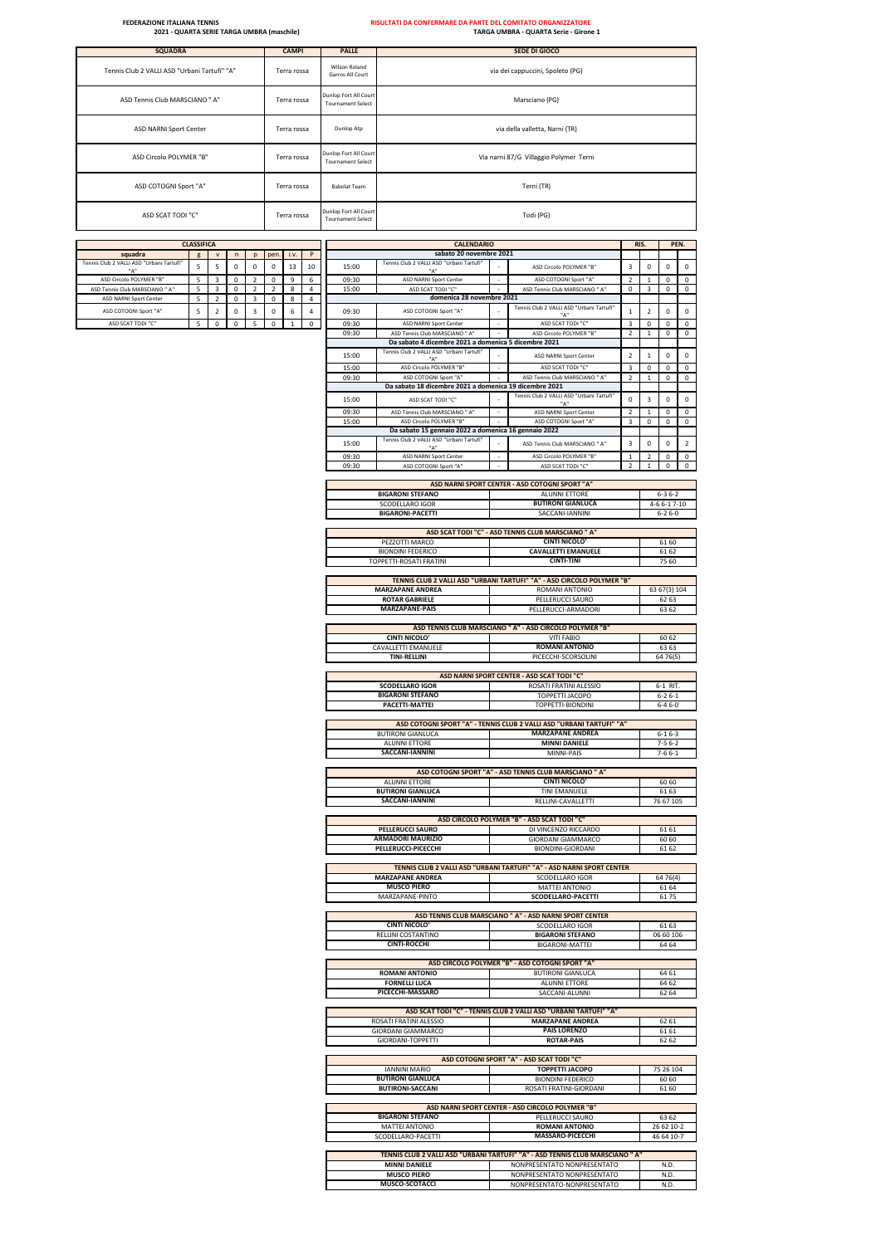| <b>SQUADRA</b>                               | <b>CAMPI</b> | <b>PALLE</b>                                      | <b>SEDE DI GIOCO</b>                   |
|----------------------------------------------|--------------|---------------------------------------------------|----------------------------------------|
| Tennis Club 2 VALLI ASD "Urbani Tartufi" "A" | Terra rossa  | Wilson Roland<br>Garros All Court                 | via dei cappuccini, Spoleto (PG)       |
| ASD Tennis Club MARSCIANO " A"               | Terra rossa  | Dunlop Fort All Court<br><b>Tournament Select</b> | Marsciano (PG)                         |
| ASD NARNI Sport Center                       | Terra rossa  | Dunlop Atp                                        | via della valletta, Narni (TR)         |
| ASD Circolo POLYMER "B"                      | Terra rossa  | Dunlop Fort All Court<br><b>Tournament Select</b> | Via narni 87/G Villaggio Polymer Terni |
| ASD COTOGNI Sport "A"                        | Terra rossa  | <b>Babolat Team</b>                               | Terni (TR)                             |
| ASD SCAT TODI "C"                            | Terra rossa  | Dunlop Fort All Court<br><b>Tournament Select</b> | Todi (PG)                              |

|                                                          | <b>CLASSIFICA</b> |                     |                            |                                           |                           |                |                     |                | <b>CALENDARIO</b>                                                               |                |                                                                                                              |                          |                                     |                          | PEN.                        |
|----------------------------------------------------------|-------------------|---------------------|----------------------------|-------------------------------------------|---------------------------|----------------|---------------------|----------------|---------------------------------------------------------------------------------|----------------|--------------------------------------------------------------------------------------------------------------|--------------------------|-------------------------------------|--------------------------|-----------------------------|
| squadra                                                  | g                 | V                   | n                          | p                                         | pen.                      | i.v.           | P                   |                | sabato 20 novembre 2021                                                         |                |                                                                                                              |                          |                                     |                          |                             |
| ınis Club 2 VALLI ASD "Urbani Tartufi"                   | 5                 | 5                   | $\mathbf 0$                | 0                                         | $\mathsf{O}$              | 13             | 10                  | 15:00          | Tennis Club 2 VALLI ASD "Urbani Tartufi"                                        |                | ASD Circolo POLYMER "B"                                                                                      | 3                        | $\mathsf 0$                         | $\mathsf 0$              | $\mathsf{O}$                |
| ASD Circolo POLYMER "B"                                  | 5                 | 3                   | $\mathbf 0$                | $\overline{2}$                            | 0                         | 9              | 6                   | 09:30          | ASD NARNI Sport Center                                                          |                | ASD COTOGNI Sport "A                                                                                         | $\overline{\phantom{a}}$ |                                     | $\mathsf{O}$             | $\mathsf{O}$                |
| ASD Tennis Club MARSCIANO " A"<br>ASD NARNI Sport Center | 5<br>5            | 3<br>$\overline{2}$ | $\mathbf 0$<br>$\mathbf 0$ | $\overline{2}$<br>$\overline{\mathbf{3}}$ | $\overline{2}$<br>$\circ$ | 8<br>8         | 4<br>$\overline{4}$ | 15:00          | ASD SCAT TODI "O<br>domenica 28 novembre 2021                                   |                | ASD Tennis Club MARSCIANO " A"                                                                               | 0                        | 3                                   | $\mathsf 0$              | $\mathsf 0$                 |
| ASD COTOGNI Sport "A"                                    | 5                 | $\overline{2}$      | $\mathbf 0$                | 3                                         | $\mathsf 0$               | 6              | $\sqrt{4}$          | 09:30          | ASD COTOGNI Sport "A"                                                           |                | Tennis Club 2 VALLI ASD "Urbani Tartufi"                                                                     | $\mathbf 1$              | $\overline{2}$                      | $\mathsf 0$              | $\mathsf 0$                 |
| ASD SCAT TODI "C"                                        | 5                 | 0                   | $\mathbf 0$                | 5                                         | 0                         | $\overline{1}$ | $\mathsf 0$         | 09:30          | ASD NARNI Sport Center                                                          |                | ASD SCAT TODI "C"                                                                                            | 3                        | $\mathsf{O}$                        | $\mathsf{O}$             | $\mathsf{O}$                |
|                                                          |                   |                     |                            |                                           |                           |                |                     | 09:30          | ASD Tennis Club MARSCIANO " A'                                                  |                | ASD Circolo POLYMER "B"                                                                                      | $\mathcal{P}$            | $\mathbf{1}$                        | $\mathsf 0$              | $\mathsf 0$                 |
|                                                          |                   |                     |                            |                                           |                           |                |                     |                | Da sabato 4 dicembre 2021 a domenica 5 dicembre 2021                            |                |                                                                                                              |                          |                                     |                          |                             |
|                                                          |                   |                     |                            |                                           |                           |                |                     | 15:00          | Tennis Club 2 VALLI ASD "Urbani Tartufi"                                        |                | <b>ASD NARNI Sport Center</b>                                                                                | $\overline{2}$           | $1\,$                               | $\mathsf 0$              | $\mathsf 0$                 |
|                                                          |                   |                     |                            |                                           |                           |                |                     | 15:00          | ASD Circolo POLYMER "B"                                                         | $\overline{a}$ | ASD SCAT TODI "C"                                                                                            | 3                        | $\mathsf{O}\xspace$                 | 0                        | $\mathsf{o}$                |
|                                                          |                   |                     |                            |                                           |                           |                |                     | 09:30          | ASD COTOGNI Sport "A'<br>Da sabato 18 dicembre 2021 a domenica 19 dicembre 2021 |                | ASD Tennis Club MARSCIANO " A"                                                                               | $\mathcal{P}$            | $\mathbf{1}$                        | $\mathsf 0$              | $\mathsf 0$                 |
|                                                          |                   |                     |                            |                                           |                           |                |                     |                |                                                                                 |                | Tennis Club 2 VALLI ASD "Urbani Tartufi"                                                                     |                          |                                     |                          |                             |
|                                                          |                   |                     |                            |                                           |                           |                |                     | 15:00          | ASD SCAT TODI "C"                                                               |                | "д                                                                                                           | 0                        | 3                                   | $\mathbf 0$              | $\mathsf{O}$                |
|                                                          |                   |                     |                            |                                           |                           |                |                     | 09:30<br>15:00 | ASD Tennis Club MARSCIANO " A"<br>ASD Circolo POLYMER "B"                       |                | ASD NARNI Sport Center<br>ASD COTOGNI Sport "A"                                                              | $\mathcal{P}$<br>3       | $\mathbf{1}$<br>$\mathsf{O}\xspace$ | 0<br>$\mathsf{O}\xspace$ | $\mathsf{o}$<br>$\mathsf 0$ |
|                                                          |                   |                     |                            |                                           |                           |                |                     |                | Da sabato 15 gennaio 2022 a domenica 16 gennaio 2022                            |                |                                                                                                              |                          |                                     |                          |                             |
|                                                          |                   |                     |                            |                                           |                           |                |                     | 15:00          | Tennis Club 2 VALLI ASD "Urbani Tartufi"                                        |                | ASD Tennis Club MARSCIANO " A"                                                                               | 3                        | $\mathbf 0$                         | $\mathbf 0$              | $\overline{2}$              |
|                                                          |                   |                     |                            |                                           |                           |                |                     | 09:30          | "Δ"<br>ASD NARNI Sport Center                                                   |                | ASD Circolo POLYMER "B"                                                                                      | $\mathbf{1}$             | $\overline{z}$                      | 0                        | $\mathsf 0$                 |
|                                                          |                   |                     |                            |                                           |                           |                |                     | 09:30          | ASD COTOGNI Sport "A"                                                           |                | ASD SCAT TODI "C"                                                                                            | $\mathcal{P}$            | $\mathbf{1}$                        | $\mathsf{O}$             | $\mathbf 0$                 |
|                                                          |                   |                     |                            |                                           |                           |                |                     |                |                                                                                 |                |                                                                                                              |                          |                                     |                          |                             |
|                                                          |                   |                     |                            |                                           |                           |                |                     |                | <b>BIGARONI STEFANO</b>                                                         |                | ASD NARNI SPORT CENTER - ASD COTOGNI SPORT "A"<br><b>ALUNNI ETTORE</b>                                       |                          |                                     | $6 - 36 - 2$             |                             |
|                                                          |                   |                     |                            |                                           |                           |                |                     |                | <b>SCODELLARO IGOR</b>                                                          |                | <b>BUTIRONI GIANLUCA</b>                                                                                     |                          |                                     | 4-6 6-1 7-10             |                             |
|                                                          |                   |                     |                            |                                           |                           |                |                     |                | <b>BIGARONI-PACETTI</b>                                                         |                | SACCANI-IANNINI                                                                                              |                          |                                     | $6 - 26 - 0$             |                             |
|                                                          |                   |                     |                            |                                           |                           |                |                     |                |                                                                                 |                |                                                                                                              |                          |                                     |                          |                             |
|                                                          |                   |                     |                            |                                           |                           |                |                     |                | PEZZOTTI MARCO                                                                  |                | ASD SCAT TODI "C" - ASD TENNIS CLUB MARSCIANO " A'<br><b>CINTI NICOLO'</b>                                   |                          |                                     | 6160                     |                             |
|                                                          |                   |                     |                            |                                           |                           |                |                     |                | <b>BIONDINI FEDERICO</b>                                                        |                | <b>CAVALLETTI EMANUELE</b>                                                                                   |                          |                                     | 6162                     |                             |
|                                                          |                   |                     |                            |                                           |                           |                |                     |                | TOPPETTI-ROSATI FRATINI                                                         |                | <b>CINTI-TINI</b>                                                                                            |                          |                                     | 75 60                    |                             |
|                                                          |                   |                     |                            |                                           |                           |                |                     |                |                                                                                 |                | TENNIS CLUB 2 VALLI ASD "URBANI TARTUFI" "A" - ASD CIRCOLO POLYMER "B"                                       |                          |                                     |                          |                             |
|                                                          |                   |                     |                            |                                           |                           |                |                     |                | <b>MARZAPANE ANDREA</b>                                                         |                | ROMANI ANTONIO                                                                                               |                          |                                     | 63 67(3) 104             |                             |
|                                                          |                   |                     |                            |                                           |                           |                |                     |                | <b>ROTAR GABRIELE</b>                                                           |                | PELLERUCCI SAURO                                                                                             |                          |                                     | 6263                     |                             |
|                                                          |                   |                     |                            |                                           |                           |                |                     |                | <b>MARZAPANE-PAIS</b>                                                           |                | PELLERUCCI-ARMADORI                                                                                          |                          |                                     | 63 62                    |                             |
|                                                          |                   |                     |                            |                                           |                           |                |                     |                |                                                                                 |                | ASD TENNIS CLUB MARSCIANO " A" - ASD CIRCOLO POLYMER "B"                                                     |                          |                                     |                          |                             |
|                                                          |                   |                     |                            |                                           |                           |                |                     |                | <b>CINTI NICOLO</b>                                                             |                | <b>VITI FABIO</b>                                                                                            |                          |                                     | 60 62                    |                             |
|                                                          |                   |                     |                            |                                           |                           |                |                     |                | CAVALLETTI EMANUELE                                                             |                | <b>ROMANI ANTONIO</b>                                                                                        |                          |                                     | 6363                     |                             |
|                                                          |                   |                     |                            |                                           |                           |                |                     |                | <b>TINI-RELLINI</b>                                                             |                | PICECCHI-SCORSOLINI                                                                                          |                          |                                     | 64 76(5)                 |                             |
|                                                          |                   |                     |                            |                                           |                           |                |                     |                |                                                                                 |                | ASD NARNI SPORT CENTER - ASD SCAT TODI "C"                                                                   |                          |                                     |                          |                             |
|                                                          |                   |                     |                            |                                           |                           |                |                     |                | <b>SCODELLARO IGOR</b>                                                          |                | ROSATI FRATINI ALESSIO                                                                                       |                          |                                     | 6-1 RIT.                 |                             |
|                                                          |                   |                     |                            |                                           |                           |                |                     |                | <b>BIGARONI STEFANO</b>                                                         |                | TOPPETTI JACOPO                                                                                              |                          |                                     | $6 - 26 - 1$             |                             |
|                                                          |                   |                     |                            |                                           |                           |                |                     |                | PACETTI-MATTEI                                                                  |                | TOPPETTI-BIONDINI                                                                                            |                          |                                     | $6 - 46 - 0$             |                             |
|                                                          |                   |                     |                            |                                           |                           |                |                     |                |                                                                                 |                | ASD COTOGNI SPORT "A" - TENNIS CLUB 2 VALLI ASD "URBANI TARTUFI" "A"                                         |                          |                                     |                          |                             |
|                                                          |                   |                     |                            |                                           |                           |                |                     |                | <b>BUTIRONI GIANLUCA</b>                                                        |                | <b>MARZAPANE ANDREA</b>                                                                                      |                          |                                     | $6 - 16 - 3$             |                             |
|                                                          |                   |                     |                            |                                           |                           |                |                     |                | ALUNNI ETTORE                                                                   |                | <b>MINNI DANIELE</b>                                                                                         |                          |                                     | $7 - 56 - 2$             |                             |
|                                                          |                   |                     |                            |                                           |                           |                |                     |                | SACCANI-IANNINI                                                                 |                | MINNI-PAIS                                                                                                   |                          |                                     | $7 - 66 - 1$             |                             |
|                                                          |                   |                     |                            |                                           |                           |                |                     |                |                                                                                 |                | ASD COTOGNI SPORT "A" - ASD TENNIS CLUB MARSCIANO " A'                                                       |                          |                                     |                          |                             |
|                                                          |                   |                     |                            |                                           |                           |                |                     |                | ALUNNI ETTORE                                                                   |                | <b>CINTI NICOLO'</b>                                                                                         |                          |                                     | 6060                     |                             |
|                                                          |                   |                     |                            |                                           |                           |                |                     |                | <b>BUTIRONI GIANLUCA</b>                                                        |                | TINI EMANUELE                                                                                                |                          |                                     | 6163                     |                             |
|                                                          |                   |                     |                            |                                           |                           |                |                     |                | SACCANI-IANNINI                                                                 |                | RELLINI-CAVALLETTI                                                                                           |                          |                                     | 76 67 105                |                             |
|                                                          |                   |                     |                            |                                           |                           |                |                     |                |                                                                                 |                | ASD CIRCOLO POLYMER "B" - ASD SCAT TODI "C"                                                                  |                          |                                     |                          |                             |
|                                                          |                   |                     |                            |                                           |                           |                |                     |                | PELLERUCCI SAURO                                                                |                | DI VINCENZO RICCARDO                                                                                         |                          |                                     | 6161                     |                             |
|                                                          |                   |                     |                            |                                           |                           |                |                     |                | <b>ARMADORI MAURIZIO</b><br>PELLERUCCI-PICECCHI                                 |                | GIORDANI GIAMMARCO                                                                                           |                          |                                     | 60 60                    |                             |
|                                                          |                   |                     |                            |                                           |                           |                |                     |                |                                                                                 |                | BIONDINI-GIORDANI                                                                                            |                          |                                     | 6162                     |                             |
|                                                          |                   |                     |                            |                                           |                           |                |                     |                |                                                                                 |                | TENNIS CLUB 2 VALLI ASD "URBANI TARTUFI" "A" - ASD NARNI SPORT CENTER                                        |                          |                                     |                          |                             |
|                                                          |                   |                     |                            |                                           |                           |                |                     |                | <b>MARZAPANE ANDREA</b>                                                         |                | SCODELLARO IGOR                                                                                              |                          |                                     | 64 76 (4)                |                             |
|                                                          |                   |                     |                            |                                           |                           |                |                     |                | <b>MUSCO PIERO</b><br>MARZAPANE-PINTO                                           |                | MATTEI ANTONIO<br>SCODELLARO-PACETTI                                                                         |                          |                                     | 61 64<br>6175            |                             |
|                                                          |                   |                     |                            |                                           |                           |                |                     |                |                                                                                 |                |                                                                                                              |                          |                                     |                          |                             |
|                                                          |                   |                     |                            |                                           |                           |                |                     |                |                                                                                 |                | ASD TENNIS CLUB MARSCIANO " A" - ASD NARNI SPORT CENTER                                                      |                          |                                     |                          |                             |
|                                                          |                   |                     |                            |                                           |                           |                |                     |                | <b>CINTI NICOLO'</b><br>RELLINI COSTANTINO                                      |                | SCODELLARO IGOR<br><b>BIGARONI STEFANO</b>                                                                   |                          |                                     | 6163<br>06 60 106        |                             |
|                                                          |                   |                     |                            |                                           |                           |                |                     |                | <b>CINTI-ROCCHI</b>                                                             |                | <b>BIGARONI-MATTEI</b>                                                                                       |                          |                                     | 64 64                    |                             |
|                                                          |                   |                     |                            |                                           |                           |                |                     |                |                                                                                 |                |                                                                                                              |                          |                                     |                          |                             |
|                                                          |                   |                     |                            |                                           |                           |                |                     |                |                                                                                 |                | ASD CIRCOLO POLYMER "B" - ASD COTOGNI SPORT "A"                                                              |                          |                                     |                          |                             |
|                                                          |                   |                     |                            |                                           |                           |                |                     |                | <b>ROMANI ANTONIO</b><br><b>FORNELLI LUCA</b>                                   |                | <b>BUTIRONI GIANLUCA</b><br><b>ALUNNI ETTORE</b>                                                             |                          |                                     | 64 61<br>64 62           |                             |
|                                                          |                   |                     |                            |                                           |                           |                |                     |                | PICECCHI-MASSARO                                                                |                | SACCANI-ALUNNI                                                                                               |                          |                                     | 62 64                    |                             |
|                                                          |                   |                     |                            |                                           |                           |                |                     |                |                                                                                 |                |                                                                                                              |                          |                                     |                          |                             |
|                                                          |                   |                     |                            |                                           |                           |                |                     |                |                                                                                 |                | ASD SCAT TODI "C" - TENNIS CLUB 2 VALLI ASD "URBANI TARTUFI" "A"<br><b>MARZAPANE ANDREA</b>                  |                          |                                     |                          |                             |
|                                                          |                   |                     |                            |                                           |                           |                |                     |                | ROSATI FRATINI ALESSIO<br>GIORDANI GIAMMARCO                                    |                | <b>PAIS LORENZO</b>                                                                                          |                          |                                     | 62 61<br>6161            |                             |
|                                                          |                   |                     |                            |                                           |                           |                |                     |                | GIORDANI-TOPPETTI                                                               |                | <b>ROTAR-PAIS</b>                                                                                            |                          |                                     | 62 62                    |                             |
|                                                          |                   |                     |                            |                                           |                           |                |                     |                |                                                                                 |                |                                                                                                              |                          |                                     |                          |                             |
|                                                          |                   |                     |                            |                                           |                           |                |                     |                | <b>IANNINI MARIO</b>                                                            |                | ASD COTOGNI SPORT "A" - ASD SCAT TODI "C"<br><b>TOPPETTI JACOPO</b>                                          |                          |                                     | 75 26 104                |                             |
|                                                          |                   |                     |                            |                                           |                           |                |                     |                | <b>BUTIRONI GIANLUCA</b>                                                        |                | <b>BIONDINI FEDERICO</b>                                                                                     |                          |                                     | 60 60                    |                             |
|                                                          |                   |                     |                            |                                           |                           |                |                     |                | <b>BUTIRONI-SACCANI</b>                                                         |                | ROSATI FRATINI-GIORDANI                                                                                      |                          |                                     | 6160                     |                             |
|                                                          |                   |                     |                            |                                           |                           |                |                     |                |                                                                                 |                |                                                                                                              |                          |                                     |                          |                             |
|                                                          |                   |                     |                            |                                           |                           |                |                     |                | <b>BIGARONI STEFANO</b>                                                         |                | ASD NARNI SPORT CENTER - ASD CIRCOLO POLYMER "B"<br>PELLERUCCI SAURO                                         |                          |                                     | 63 62                    |                             |
|                                                          |                   |                     |                            |                                           |                           |                |                     |                | <b>MATTEI ANTONIO</b>                                                           |                | <b>ROMANI ANTONIO</b>                                                                                        |                          |                                     | 26 62 10-2               |                             |
|                                                          |                   |                     |                            |                                           |                           |                |                     |                | SCODELLARO-PACETTI                                                              |                | MASSARO-PICECCHI                                                                                             |                          |                                     | 46 64 10-7               |                             |
|                                                          |                   |                     |                            |                                           |                           |                |                     |                |                                                                                 |                |                                                                                                              |                          |                                     |                          |                             |
|                                                          |                   |                     |                            |                                           |                           |                |                     |                | <b>MINNI DANIELE</b>                                                            |                | TENNIS CLUB 2 VALLI ASD "URBANI TARTUFI" "A" - ASD TENNIS CLUB MARSCIANO " A'<br>NONPRESENTATO NONPRESENTATO |                          |                                     | N.D.                     |                             |
|                                                          |                   |                     |                            |                                           |                           |                |                     |                | <b>MUSCO PIERO</b>                                                              |                | NONPRESENTATO NONPRESENTATO                                                                                  |                          |                                     | N.D.                     |                             |
|                                                          |                   |                     |                            |                                           |                           |                |                     |                | MUSCO-SCOTACCI                                                                  |                | NONPRESENTATO-NONPRESENTATO                                                                                  |                          |                                     | N.D.                     |                             |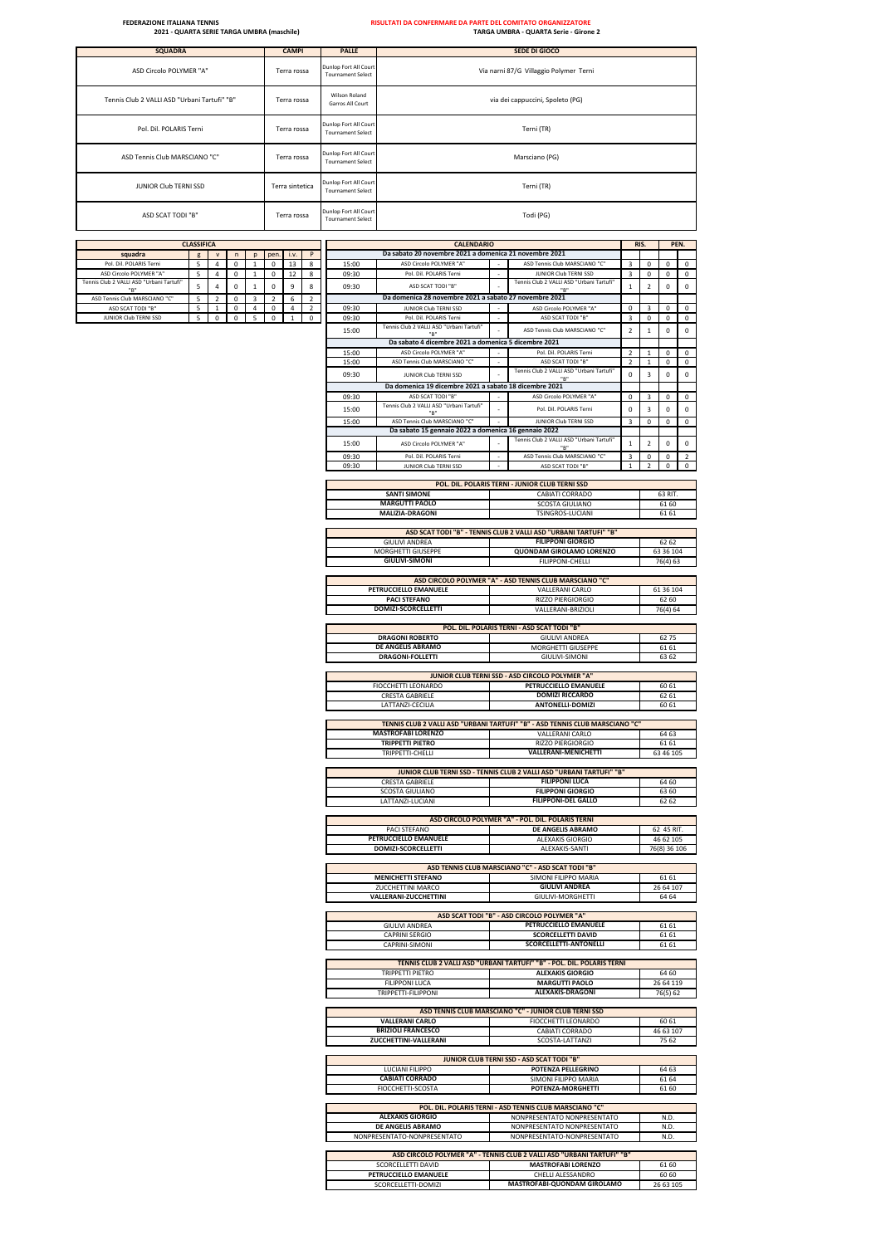JUNIOR Club TERNI SSD Terra sintetica Tournament Select Terni (TR) ASD SCAT TODI "B" Terra rossa Dunlop Fort All Court<br>Tournament Select Todi (PG) Pol. Dil. POLARIS Terni **Terra rossa** Punlop Fort All Court<br>Tournament Select Terni (TR) ASD Tennis Club MARSCIANO "C" Terra rossa Punlop Fort All Court<br>
Tournament Select Marsciano (PG) ASD Circolo POLYMER "A" Terra rossa Dunlop Fort All Court All Court All Court All Court All Court All Court All Court All Court All Court All Court All Court All Court All Court All Court All Court All Court All Court All Via narni 87/G Villaggio Polymer Terni Tennis Club 2 VALLI ASD "Urbani Tartufi" "B" Terra rossa Wilson Roland via dei cappuccini, Spoleto (PG) **SQUADRA CAMPI PALLE SEDE DI GIOCO**

|                                                    | <b>CLASSIFICA</b>             |                     |                  |              |                     |                | <b>CALENDARIO</b><br>Da sabato 20 novembre 2021 a domenica 21 novembre 2021<br>i.v.<br>P |                |                                                                                      |        |                                                                                              | RIS.           |                         |                    | PEN.           |
|----------------------------------------------------|-------------------------------|---------------------|------------------|--------------|---------------------|----------------|------------------------------------------------------------------------------------------|----------------|--------------------------------------------------------------------------------------|--------|----------------------------------------------------------------------------------------------|----------------|-------------------------|--------------------|----------------|
| squadra                                            | g<br>5                        | ${\bf v}$           | $\mathsf{n}$     | p            | pen<br>$\Omega$     |                |                                                                                          |                | ASD Circolo POLYMER "A"                                                              |        |                                                                                              | 3              |                         |                    |                |
| Pol. Dil. POLARIS Terni<br>ASD Circolo POLYMER "A' | 5                             | 4<br>$\overline{4}$ | 0<br>$\Omega$    | $\mathbf{1}$ | $^{\circ}$          | 13<br>12       | 8<br>8                                                                                   | 15:00<br>09:30 | Pol. Dil. POLARIS Terni                                                              |        | ASD Tennis Club MARSCIANO "C"<br>JUNIOR Club TERNI SSD                                       | 3              | $\mathsf 0$<br>$\Omega$ | 0<br>$\Omega$      | 0<br>0         |
| nis Club 2 VALLI ASD "Urbani Tartufi'              | 5                             | $\sqrt{4}$          | $\mathsf 0$      | $\mathbf{1}$ | 0                   | 9              | 8                                                                                        | 09:30          | ASD SCAT TODI "B"                                                                    |        | Tennis Club 2 VAIII ASD "Urbani Tartufi"                                                     | $\mathbf{1}$   | $\overline{2}$          | $\mathsf{O}$       | 0              |
|                                                    |                               |                     |                  |              |                     |                |                                                                                          |                |                                                                                      |        |                                                                                              |                |                         |                    |                |
| ASD Tennis Club MARSCIANO "C"<br>ASD SCAT TODI "B" | 5<br>$\overline{\phantom{a}}$ | $\overline{2}$<br>1 | 0<br>$\mathbf 0$ | 3<br>4       | $\overline{2}$<br>0 | 6<br>4         | $\overline{2}$<br>$\overline{2}$                                                         | 09:30          | Da domenica 28 novembre 2021 a sabato 27 novembre 2021<br>JUNIOR Club TERNI SSD      |        | ASD Circolo POLYMER "A"                                                                      | 0              | 3                       | 0                  | 0              |
| JUNIOR Club TERNI SSD                              | 5                             | $\Omega$            | $\Omega$         | 5            | $\mathsf 0$         | $\overline{1}$ | $\mathbf 0$                                                                              | 09:30          | Pol. Dil. POLARIS Terni                                                              |        | ASD SCAT TODI "B"                                                                            | 3              | $\mathsf 0$             | $\Omega$           | $\mathsf{o}\,$ |
|                                                    |                               |                     |                  |              |                     |                |                                                                                          | 15:00          | Tennis Club 2 VALLI ASD "Urbani Tartufi"                                             |        | ASD Tennis Club MARSCIANO "C"                                                                | $\overline{2}$ | $\mathbf 1$             | $\mathbf 0$        | $\mathsf 0$    |
|                                                    |                               |                     |                  |              |                     |                |                                                                                          |                | Da sabato 4 dicembre 2021 a domenica 5 dicembre 2021                                 |        |                                                                                              |                |                         |                    |                |
|                                                    |                               |                     |                  |              |                     |                |                                                                                          | 15:00          | ASD Circolo POLYMER "A"                                                              |        | Pol. Dil. POLARIS Terni                                                                      | $\overline{2}$ | $\mathbf{1}$            | 0                  | 0              |
|                                                    |                               |                     |                  |              |                     |                |                                                                                          | 15:00          | ASD Tennis Club MARSCIANO "C"                                                        |        | ASD SCAT TODI "B"                                                                            | $\overline{2}$ | $\mathbf{1}$            | $\Omega$           | $\mathsf{o}\,$ |
|                                                    |                               |                     |                  |              |                     |                |                                                                                          | 09:30          | JUNIOR Club TERNI SSD                                                                |        | Tennis Club 2 VALLI ASD "Urbani Tartufi"                                                     | $\mathsf 0$    | $\overline{\mathbf{3}}$ | $\mathsf{O}$       | 0              |
|                                                    |                               |                     |                  |              |                     |                |                                                                                          |                | Da domenica 19 dicembre 2021 a sabato 18 dicembre 2021                               |        |                                                                                              |                |                         |                    |                |
|                                                    |                               |                     |                  |              |                     |                |                                                                                          | 09:30          | ASD SCAT TODI "B"                                                                    | $\sim$ | ASD Circolo POLYMER "A"                                                                      | 0              | 3                       | $\mathsf{O}$       | $\mathbf 0$    |
|                                                    |                               |                     |                  |              |                     |                |                                                                                          |                | Tennis Club 2 VALLI ASD "Urbani Tartufi'                                             |        | Pol. Dil. POLARIS Terni                                                                      | 0              | 3                       | $\mathbf 0$        | 0              |
|                                                    |                               |                     |                  |              |                     |                |                                                                                          | 15:00          | "в                                                                                   |        |                                                                                              |                |                         |                    |                |
|                                                    |                               |                     |                  |              |                     |                |                                                                                          | 15:00          | ASD Tennis Club MARSCIANO "C<br>Da sabato 15 gennaio 2022 a domenica 16 gennaio 2022 |        | JUNIOR Club TERNI SSD                                                                        | 3              | $\mathsf 0$             | $\mathsf{O}$       | 0              |
|                                                    |                               |                     |                  |              |                     |                |                                                                                          |                |                                                                                      |        | Tennis Club 2 VALLI ASD "Urbani Tartufi"                                                     |                |                         |                    |                |
|                                                    |                               |                     |                  |              |                     |                |                                                                                          | 15:00          | ASD Circolo POLYMER "A"                                                              |        |                                                                                              | $\mathbf{1}$   | $\overline{2}$          | $\mathsf{O}$       | 0              |
|                                                    |                               |                     |                  |              |                     |                |                                                                                          | 09:30          | Pol. Dil. POLARIS Terni                                                              |        | ASD Tennis Club MARSCIANO "C"                                                                | 3              | $\mathsf 0$             | 0                  | $\overline{2}$ |
|                                                    |                               |                     |                  |              |                     |                |                                                                                          | 09:30          | JUNIOR Club TERNI SSD                                                                |        | ASD SCAT TODI "B'                                                                            | 1              | $\mathcal{P}$           | 0                  | 0              |
|                                                    |                               |                     |                  |              |                     |                |                                                                                          |                |                                                                                      |        | POL. DIL. POLARIS TERNI - JUNIOR CLUB TERNI SSD                                              |                |                         |                    |                |
|                                                    |                               |                     |                  |              |                     |                |                                                                                          |                | <b>SANTI SIMONE</b>                                                                  |        | CABIATI CORRADO                                                                              |                |                         | 63 RIT.            |                |
|                                                    |                               |                     |                  |              |                     |                |                                                                                          |                | <b>MARGUTTI PAOLO</b>                                                                |        | <b>SCOSTA GIULIANO</b>                                                                       |                |                         | 6160               |                |
|                                                    |                               |                     |                  |              |                     |                |                                                                                          |                | MALIZIA-DRAGONI                                                                      |        | TSINGROS-LUCIANI                                                                             |                |                         | 6161               |                |
|                                                    |                               |                     |                  |              |                     |                |                                                                                          |                |                                                                                      |        |                                                                                              |                |                         |                    |                |
|                                                    |                               |                     |                  |              |                     |                |                                                                                          |                | <b>GIULIVI ANDREA</b>                                                                |        | ASD SCAT TODI "B" - TENNIS CLUB 2 VALLI ASD "URBANI TARTUFI" "B'<br><b>FILIPPONI GIORGIO</b> |                |                         | 62 62              |                |
|                                                    |                               |                     |                  |              |                     |                |                                                                                          |                | MORGHETTI GIUSEPPE                                                                   |        | <b>QUONDAM GIROLAMO LORENZO</b>                                                              |                |                         | 63 36 104          |                |
|                                                    |                               |                     |                  |              |                     |                |                                                                                          |                | <b>GIULIVI-SIMONI</b>                                                                |        | FILIPPONI-CHELLI                                                                             |                |                         | 76(4) 63           |                |
|                                                    |                               |                     |                  |              |                     |                |                                                                                          |                |                                                                                      |        |                                                                                              |                |                         |                    |                |
|                                                    |                               |                     |                  |              |                     |                |                                                                                          |                |                                                                                      |        | ASD CIRCOLO POLYMER "A" - ASD TENNIS CLUB MARSCIANO "C"                                      |                |                         |                    |                |
|                                                    |                               |                     |                  |              |                     |                |                                                                                          |                | PETRUCCIELLO EMANUELE                                                                |        | <b>VALLERANI CARLO</b>                                                                       |                |                         | 61 36 104          |                |
|                                                    |                               |                     |                  |              |                     |                |                                                                                          |                | <b>PACI STEFANO</b>                                                                  |        | RIZZO PIERGIORGIO                                                                            |                |                         | 62 60              |                |
|                                                    |                               |                     |                  |              |                     |                |                                                                                          |                | DOMIZI-SCORCELLETTI                                                                  |        | VALLERANI-BRIZIOLI                                                                           |                |                         | 76(4) 64           |                |
|                                                    |                               |                     |                  |              |                     |                |                                                                                          |                |                                                                                      |        | POL. DIL. POLARIS TERNI - ASD SCAT TODI "B"                                                  |                |                         |                    |                |
|                                                    |                               |                     |                  |              |                     |                |                                                                                          |                | <b>DRAGONI ROBERTO</b>                                                               |        | <b>GIULIVI ANDREA</b>                                                                        |                |                         | 6275               |                |
|                                                    |                               |                     |                  |              |                     |                |                                                                                          |                | DE ANGELIS ABRAMO                                                                    |        | MORGHETTI GIUSEPPE                                                                           |                |                         | 6161               |                |
|                                                    |                               |                     |                  |              |                     |                |                                                                                          |                | DRAGONI-FOLLETTI                                                                     |        | <b>GIULIVI-SIMONI</b>                                                                        |                |                         | 63 62              |                |
|                                                    |                               |                     |                  |              |                     |                |                                                                                          |                |                                                                                      |        |                                                                                              |                |                         |                    |                |
|                                                    |                               |                     |                  |              |                     |                |                                                                                          |                | FIOCCHETTI LEONARDO                                                                  |        | JUNIOR CLUB TERNI SSD - ASD CIRCOLO POLYMER "A"<br>PETRUCCIELLO EMANUELE                     |                |                         | 60 61              |                |
|                                                    |                               |                     |                  |              |                     |                |                                                                                          |                | <b>CRESTA GABRIELE</b>                                                               |        | <b>DOMIZI RICCARDO</b>                                                                       |                |                         | 62 61              |                |
|                                                    |                               |                     |                  |              |                     |                |                                                                                          |                | LATTANZI-CECILIA                                                                     |        | <b>ANTONELLI-DOMIZI</b>                                                                      |                |                         | 60 61              |                |
|                                                    |                               |                     |                  |              |                     |                |                                                                                          |                |                                                                                      |        |                                                                                              |                |                         |                    |                |
|                                                    |                               |                     |                  |              |                     |                |                                                                                          |                |                                                                                      |        | TENNIS CLUB 2 VALLI ASD "URBANI TARTUFI" "B" - ASD TENNIS CLUB MARSCIANO "C'                 |                |                         |                    |                |
|                                                    |                               |                     |                  |              |                     |                |                                                                                          |                | <b>MASTROFABI LORENZO</b>                                                            |        | VALLERANI CARLO                                                                              |                |                         | 64 63              |                |
|                                                    |                               |                     |                  |              |                     |                |                                                                                          |                | <b>TRIPPETTI PIETRO</b><br>TRIPPETTI-CHELLI                                          |        | RIZZO PIERGIORGIO<br><b>VALLERANI-MENICHETTI</b>                                             |                |                         | 61 61<br>63 46 105 |                |
|                                                    |                               |                     |                  |              |                     |                |                                                                                          |                |                                                                                      |        |                                                                                              |                |                         |                    |                |
|                                                    |                               |                     |                  |              |                     |                |                                                                                          |                |                                                                                      |        | JUNIOR CLUB TERNI SSD - TENNIS CLUB 2 VALLI ASD "URBANI TARTUFI" "B"                         |                |                         |                    |                |
|                                                    |                               |                     |                  |              |                     |                |                                                                                          |                | <b>CRESTA GABRIELE</b>                                                               |        | <b>FILIPPONI LUCA</b>                                                                        |                |                         | 6460               |                |
|                                                    |                               |                     |                  |              |                     |                |                                                                                          |                | SCOSTA GIULIANO                                                                      |        | <b>FILIPPONI GIORGIO</b>                                                                     |                |                         | 63 60              |                |
|                                                    |                               |                     |                  |              |                     |                |                                                                                          |                | LATTANZI-LUCIANI                                                                     |        | <b>FILIPPONI-DEL GALLO</b>                                                                   |                |                         | 62 62              |                |
|                                                    |                               |                     |                  |              |                     |                |                                                                                          |                |                                                                                      |        | ASD CIRCOLO POLYMER "A" - POL. DIL. POLARIS TERNI                                            |                |                         |                    |                |
|                                                    |                               |                     |                  |              |                     |                |                                                                                          |                | PACI STEFANO                                                                         |        | DE ANGELIS ABRAMO                                                                            |                |                         | 62 45 RIT.         |                |
|                                                    |                               |                     |                  |              |                     |                |                                                                                          |                | PETRUCCIELLO EMANUELE                                                                |        | ALEXAKIS GIORGIO                                                                             |                |                         | 46 62 105          |                |
|                                                    |                               |                     |                  |              |                     |                |                                                                                          |                | DOMIZI-SCORCELLETTI                                                                  |        | ALEXAKIS-SANTI                                                                               |                |                         | 76(8) 36 106       |                |
|                                                    |                               |                     |                  |              |                     |                |                                                                                          |                |                                                                                      |        |                                                                                              |                |                         |                    |                |
|                                                    |                               |                     |                  |              |                     |                |                                                                                          |                |                                                                                      |        | ASD TENNIS CLUB MARSCIANO "C" - ASD SCAT TODI "B"                                            |                |                         |                    |                |
|                                                    |                               |                     |                  |              |                     |                |                                                                                          |                | <b>MENICHETTI STEFANO</b><br>ZUCCHETTINI MARCO                                       |        | SIMONI FILIPPO MARIA<br><b>GIULIVI ANDREA</b>                                                |                |                         | 6161<br>26 64 107  |                |
|                                                    |                               |                     |                  |              |                     |                |                                                                                          |                | VALLERANI-ZUCCHETTINI                                                                |        | GIULIVI-MORGHETTI                                                                            |                |                         | 64 64              |                |
|                                                    |                               |                     |                  |              |                     |                |                                                                                          |                |                                                                                      |        |                                                                                              |                |                         |                    |                |
|                                                    |                               |                     |                  |              |                     |                |                                                                                          |                |                                                                                      |        | ASD SCAT TODI "B" - ASD CIRCOLO POLYMER "A"                                                  |                |                         |                    |                |
|                                                    |                               |                     |                  |              |                     |                |                                                                                          |                | <b>GIULIVI ANDREA</b>                                                                |        | PETRUCCIELLO EMANUELE                                                                        |                |                         | 6161               |                |
|                                                    |                               |                     |                  |              |                     |                |                                                                                          |                | <b>CAPRINI SERGIO</b>                                                                |        | <b>SCORCELLETTI DAVID</b>                                                                    |                |                         | 6161               |                |
|                                                    |                               |                     |                  |              |                     |                |                                                                                          |                | CAPRINI-SIMONI                                                                       |        | SCORCELLETTI-ANTONELLI                                                                       |                |                         | 6161               |                |
|                                                    |                               |                     |                  |              |                     |                |                                                                                          |                |                                                                                      |        | TENNIS CLUB 2 VALLI ASD "URBANI TARTUFI" "B" - POL. DIL. POLARIS TERNI                       |                |                         |                    |                |
|                                                    |                               |                     |                  |              |                     |                |                                                                                          |                | <b>TRIPPETTI PIETRO</b>                                                              |        | <b>ALEXAKIS GIORGIO</b>                                                                      |                |                         | 64 60              |                |
|                                                    |                               |                     |                  |              |                     |                |                                                                                          |                | <b>FILIPPONI LUCA</b>                                                                |        | <b>MARGUTTI PAOLO</b>                                                                        |                |                         | 26 64 119          |                |
|                                                    |                               |                     |                  |              |                     |                |                                                                                          |                | TRIPPETTI-FILIPPONI                                                                  |        | <b>ALEXAKIS-DRAGONI</b>                                                                      |                |                         | 76(5) 62           |                |
|                                                    |                               |                     |                  |              |                     |                |                                                                                          |                |                                                                                      |        | ASD TENNIS CLUB MARSCIANO "C" - JUNIOR CLUB TERNI SSD                                        |                |                         |                    |                |
|                                                    |                               |                     |                  |              |                     |                |                                                                                          |                | <b>VALLERANI CARLO</b>                                                               |        | FIOCCHETTI LEONARDO                                                                          |                |                         | 60 61              |                |
|                                                    |                               |                     |                  |              |                     |                |                                                                                          |                | <b>BRIZIOLI FRANCESCO</b>                                                            |        | <b>CABIATI CORRADO</b>                                                                       |                |                         | 46 63 107          |                |
|                                                    |                               |                     |                  |              |                     |                |                                                                                          |                | ZUCCHETTINI-VALLERANI                                                                |        | SCOSTA-LATTANZI                                                                              |                |                         | 75 62              |                |
|                                                    |                               |                     |                  |              |                     |                |                                                                                          |                |                                                                                      |        |                                                                                              |                |                         |                    |                |
|                                                    |                               |                     |                  |              |                     |                |                                                                                          |                |                                                                                      |        | JUNIOR CLUB TERNI SSD - ASD SCAT TODI "B"                                                    |                |                         |                    |                |
|                                                    |                               |                     |                  |              |                     |                |                                                                                          |                | LUCIANI FILIPPO<br><b>CABIATI CORRADO</b>                                            |        | POTENZA PELLEGRINO<br>SIMONI FILIPPO MARIA                                                   |                |                         | 64 63              |                |
|                                                    |                               |                     |                  |              |                     |                |                                                                                          |                | FIOCCHETTI-SCOSTA                                                                    |        | POTENZA-MORGHETTI                                                                            |                |                         | 6164<br>6160       |                |
|                                                    |                               |                     |                  |              |                     |                |                                                                                          |                |                                                                                      |        |                                                                                              |                |                         |                    |                |
|                                                    |                               |                     |                  |              |                     |                |                                                                                          |                |                                                                                      |        | POL. DIL. POLARIS TERNI - ASD TENNIS CLUB MARSCIANO "C"                                      |                |                         |                    |                |
|                                                    |                               |                     |                  |              |                     |                |                                                                                          |                | <b>ALEXAKIS GIORGIO</b>                                                              |        | NONPRESENTATO NONPRESENTATO                                                                  |                |                         | N.D.               |                |
|                                                    |                               |                     |                  |              |                     |                |                                                                                          |                | DE ANGELIS ABRAMO                                                                    |        | NONPRESENTATO NONPRESENTATO                                                                  |                |                         | N.D.               |                |
|                                                    |                               |                     |                  |              |                     |                |                                                                                          |                | NONPRESENTATO-NONPRESENTATO                                                          |        | NONPRESENTATO-NONPRESENTATO                                                                  |                |                         | N.D.               |                |
|                                                    |                               |                     |                  |              |                     |                |                                                                                          |                |                                                                                      |        | ASD CIRCOLO POLYMER "A" - TENNIS CLUB 2 VALLI ASD "URBANI TARTUFI" "B"                       |                |                         |                    |                |
|                                                    |                               |                     |                  |              |                     |                |                                                                                          |                | SCORCELLETTI DAVID                                                                   |        | <b>MASTROFABI LORENZO</b>                                                                    |                |                         | 6160               |                |
|                                                    |                               |                     |                  |              |                     |                |                                                                                          |                | PETRUCCIELLO EMANUELE                                                                |        | CHELLI ALESSANDRO                                                                            |                |                         | 6060               |                |
|                                                    |                               |                     |                  |              |                     |                |                                                                                          |                | SCORCELLETTI-DOMIZI                                                                  |        | MASTROFABI-QUONDAM GIROLAMO                                                                  |                |                         | 26 63 105          |                |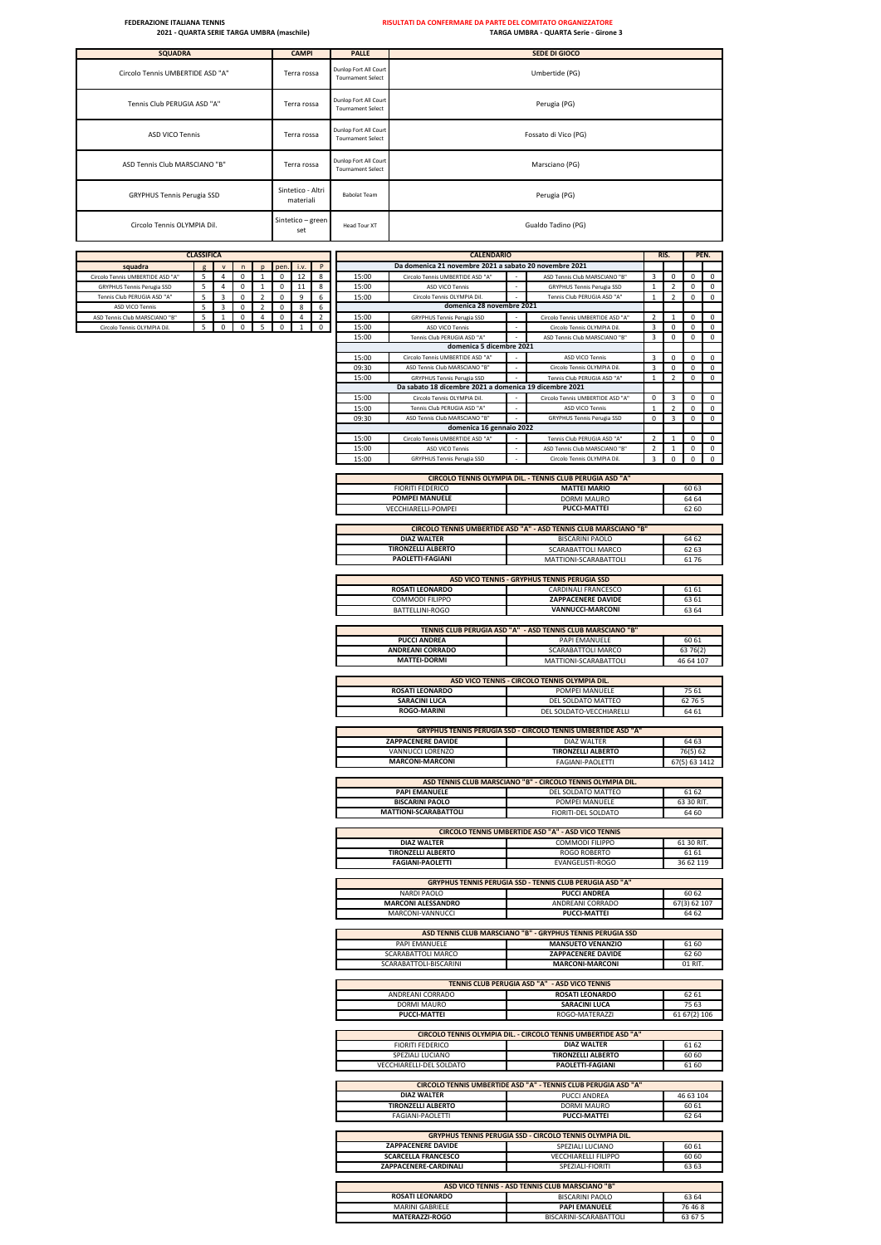| <b>SQUADRA</b>                   | <b>CAMPI</b>                   | <b>PALLE</b>                                      | SEDE DI GIOCO        |
|----------------------------------|--------------------------------|---------------------------------------------------|----------------------|
| Circolo Tennis UMBERTIDE ASD "A" | Terra rossa                    | Dunlop Fort All Court<br><b>Tournament Select</b> | Umbertide (PG)       |
| Tennis Club PERUGIA ASD "A"      | Terra rossa                    | Dunlop Fort All Court<br><b>Tournament Select</b> | Perugia (PG)         |
| ASD VICO Tennis                  | Terra rossa                    | Dunlop Fort All Court<br><b>Tournament Select</b> | Fossato di Vico (PG) |
| ASD Tennis Club MARSCIANO "B"    | Terra rossa                    | Dunlop Fort All Court<br><b>Tournament Select</b> | Marsciano (PG)       |
| GRYPHUS Tennis Perugia SSD       | Sintetico - Altri<br>materiali | <b>Babolat Team</b>                               | Perugia (PG)         |
| Circolo Tennis OLYMPIA Dil.      | Sintetico - green<br>set       | <b>Head Tour XT</b>                               | Gualdo Tadino (PG)   |

|                                                       | <b>CLASSIFICA</b> |                |             |                                         |              |        |                |                | <b>CALENDARIO</b>                                         |                                                                              |                         | RIS.           |                       | PEN.             |
|-------------------------------------------------------|-------------------|----------------|-------------|-----------------------------------------|--------------|--------|----------------|----------------|-----------------------------------------------------------|------------------------------------------------------------------------------|-------------------------|----------------|-----------------------|------------------|
| squadra                                               | g                 | ${\sf v}$      | $\sf n$     | pen.<br>p                               |              | i.v.   | P              |                | Da domenica 21 novembre 2021 a sabato 20 novembre 2021    |                                                                              |                         |                |                       |                  |
| Circolo Tennis UMBERTIDE ASD "A"                      | 5                 | $\overline{4}$ | $\mathbf 0$ | 0<br>1                                  | 12           |        | $\bf 8$        | 15:00          | Circolo Tennis UMBERTIDE ASD "A"                          | ASD Tennis Club MARSCIANO "B'                                                | 3                       | 0              | 0                     | $\Omega$         |
| <b>GRYPHUS Tennis Perugia SSD</b>                     | 5                 | 4              | 0           | $\,1\,$<br>0                            | 11           |        | 8              | 15:00          | ASD VICO Tennis                                           | <b>GRYPHUS Tennis Perugia SSD</b>                                            | $\mathbf{1}$            | $\overline{2}$ | 0                     | 0                |
| Tennis Club PERUGIA ASD "A"<br><b>ASD VICO Tennis</b> | 5<br>5            | 3<br>3         | 0<br>0      | $\mathbf 2$<br>0<br>$\mathfrak{p}$<br>0 |              | 9<br>8 | 6<br>6         | 15:00          | Circolo Tennis OLYMPIA Dil.<br>domenica 28 novembre 2021  | Tennis Club PERUGIA ASD "A"                                                  | $\mathbf 1$             | $\overline{2}$ | $\mathbf 0$           | $\mathbf 0$      |
| ASD Tennis Club MARSCIANO "B"                         | 5                 | $\mathbf 1$    | 0           | $\overline{4}$<br>0                     | $\sqrt{4}$   |        | $\overline{2}$ | 15:00          | <b>GRYPHUS Tennis Perugia SSD</b>                         | Circolo Tennis UMBERTIDE ASD "A'                                             | $\overline{2}$          | $\mathbf{1}$   | 0                     | $\mathsf 0$      |
| Circolo Tennis OLYMPIA Dil.                           | 5                 | $\mathsf 0$    | $\mathsf 0$ | 5<br>$\mathsf 0$                        | $\mathbf{1}$ |        | $\mathbf 0$    | 15:00          | ASD VICO Tennis                                           | Circolo Tennis OLYMPIA Dil.                                                  | 3                       | 0              | 0                     | $\mathsf 0$      |
|                                                       |                   |                |             |                                         |              |        |                | 15:00          | Tennis Club PERUGIA ASD "A"                               | ASD Tennis Club MARSCIANO "B"                                                | 3                       | $\mathbf 0$    | $\mathsf 0$           | $\mathbf 0$      |
|                                                       |                   |                |             |                                         |              |        |                |                | domenica 5 dicembre 2021                                  |                                                                              |                         |                |                       |                  |
|                                                       |                   |                |             |                                         |              |        |                | 15:00          | Circolo Tennis UMBERTIDE ASD "A                           | ASD VICO Tennis                                                              | 3                       | 0              | 0                     | 0                |
|                                                       |                   |                |             |                                         |              |        |                | 09:30          | ASD Tennis Club MARSCIANO "B"                             | Circolo Tennis OLYMPIA Dil.                                                  | 3                       | 0              | $\mathsf 0$           | 0                |
|                                                       |                   |                |             |                                         |              |        |                | 15:00          | <b>GRYPHUS Tennis Perugia SSD</b>                         | Tennis Club PERUGIA ASD "A"                                                  | $\mathbf 1$             | $\overline{2}$ | 0                     | 0                |
|                                                       |                   |                |             |                                         |              |        |                |                | Da sabato 18 dicembre 2021 a domenica 19 dicembre 2021    |                                                                              |                         |                |                       |                  |
|                                                       |                   |                |             |                                         |              |        |                | 15:00          | Circolo Tennis OLYMPIA Dil                                | Circolo Tennis UMBERTIDE ASD "A'                                             | $\mathsf 0$             | 3              | 0                     | 0                |
|                                                       |                   |                |             |                                         |              |        |                | 15:00          | Tennis Club PERUGIA ASD "A"                               | ASD VICO Tennis                                                              | $\mathbf{1}$            | $\overline{2}$ | 0                     | $\mathbf 0$      |
|                                                       |                   |                |             |                                         |              |        |                | 09:30          | ASD Tennis Club MARSCIANO "B"<br>domenica 16 gennaio 2022 | <b>GRYPHUS Tennis Perugia SSD</b>                                            | $\mathsf 0$             | 3              | $\mathsf 0$           | $\mathsf 0$      |
|                                                       |                   |                |             |                                         |              |        |                |                | Circolo Tennis UMBERTIDE ASD "A"                          | Tennis Club PERUGIA ASD "A"                                                  | $\overline{2}$          | -1             |                       |                  |
|                                                       |                   |                |             |                                         |              |        |                | 15:00<br>15:00 | ASD VICO Tennis                                           | ASD Tennis Club MARSCIANO "B"                                                | $\overline{\mathbf{2}}$ |                | 0<br>0                | 0<br>$\mathbf 0$ |
|                                                       |                   |                |             |                                         |              |        |                | 15:00          | <b>GRYPHUS Tennis Perugia SSD</b>                         | Circolo Tennis OLYMPIA Dil                                                   | $\overline{3}$          | 0              | $\mathsf 0$           | $\mathsf 0$      |
|                                                       |                   |                |             |                                         |              |        |                |                |                                                           |                                                                              |                         |                |                       |                  |
|                                                       |                   |                |             |                                         |              |        |                |                |                                                           | CIRCOLO TENNIS OLYMPIA DIL. - TENNIS CLUB PERUGIA ASD "A"                    |                         |                |                       |                  |
|                                                       |                   |                |             |                                         |              |        |                |                | <b>FIORITI FEDERICO</b>                                   | <b>MATTEI MARIO</b>                                                          |                         |                | 60 63                 |                  |
|                                                       |                   |                |             |                                         |              |        |                |                | <b>POMPEI MANUELE</b>                                     | DORMI MAURO                                                                  |                         |                | 64 64                 |                  |
|                                                       |                   |                |             |                                         |              |        |                |                | VECCHIARELLI-POMPEI                                       | <b>PUCCI-MATTEI</b>                                                          |                         |                | 62 60                 |                  |
|                                                       |                   |                |             |                                         |              |        |                |                |                                                           |                                                                              |                         |                |                       |                  |
|                                                       |                   |                |             |                                         |              |        |                |                |                                                           | CIRCOLO TENNIS UMBERTIDE ASD "A" - ASD TENNIS CLUB MARSCIANO "B"             |                         |                |                       |                  |
|                                                       |                   |                |             |                                         |              |        |                |                | <b>DIAZ WALTER</b>                                        | <b>BISCARINI PAOLO</b>                                                       |                         |                | 64 62                 |                  |
|                                                       |                   |                |             |                                         |              |        |                |                | <b>TIRONZELLI ALBERTO</b>                                 | SCARABATTOLI MARCO                                                           |                         |                | 62 63                 |                  |
|                                                       |                   |                |             |                                         |              |        |                |                | PAOLETTI-FAGIANI                                          | MATTIONI-SCARABATTOLI                                                        |                         |                | 61 76                 |                  |
|                                                       |                   |                |             |                                         |              |        |                |                |                                                           |                                                                              |                         |                |                       |                  |
|                                                       |                   |                |             |                                         |              |        |                |                |                                                           | ASD VICO TENNIS - GRYPHUS TENNIS PERUGIA SSD                                 |                         |                |                       |                  |
|                                                       |                   |                |             |                                         |              |        |                |                | <b>ROSATI LEONARDO</b>                                    | <b>CARDINALI FRANCESCO</b>                                                   |                         |                | 61 61                 |                  |
|                                                       |                   |                |             |                                         |              |        |                |                | COMMODI FILIPPO                                           | <b>ZAPPACENERE DAVIDE</b>                                                    |                         |                | 63 61                 |                  |
|                                                       |                   |                |             |                                         |              |        |                |                | BATTELLINI-ROGO                                           | <b>VANNUCCI-MARCONI</b>                                                      |                         |                | 63 64                 |                  |
|                                                       |                   |                |             |                                         |              |        |                |                |                                                           |                                                                              |                         |                |                       |                  |
|                                                       |                   |                |             |                                         |              |        |                |                | <b>PUCCI ANDREA</b>                                       | TENNIS CLUB PERUGIA ASD "A" - ASD TENNIS CLUB MARSCIANO "B"<br>PAPI EMANUELE |                         |                | 60 61                 |                  |
|                                                       |                   |                |             |                                         |              |        |                |                | <b>ANDREANI CORRADO</b>                                   |                                                                              |                         |                |                       |                  |
|                                                       |                   |                |             |                                         |              |        |                |                | <b>MATTEI-DORMI</b>                                       | SCARABATTOLI MARCO<br>MATTIONI-SCARABATTOLI                                  |                         |                | 63 76(2)<br>46 64 107 |                  |
|                                                       |                   |                |             |                                         |              |        |                |                |                                                           |                                                                              |                         |                |                       |                  |
|                                                       |                   |                |             |                                         |              |        |                |                |                                                           | ASD VICO TENNIS - CIRCOLO TENNIS OLYMPIA DIL.                                |                         |                |                       |                  |
|                                                       |                   |                |             |                                         |              |        |                |                | <b>ROSATI LEONARDO</b>                                    | POMPEI MANUELE                                                               |                         |                | 75 61                 |                  |
|                                                       |                   |                |             |                                         |              |        |                |                | <b>SARACINI LUCA</b>                                      | DEL SOLDATO MATTEO                                                           |                         |                | 62 76 5               |                  |
|                                                       |                   |                |             |                                         |              |        |                |                | <b>ROGO-MARINI</b>                                        | DEL SOLDATO-VECCHIARELLI                                                     |                         |                | 64 61                 |                  |
|                                                       |                   |                |             |                                         |              |        |                |                |                                                           |                                                                              |                         |                |                       |                  |
|                                                       |                   |                |             |                                         |              |        |                |                |                                                           | GRYPHUS TENNIS PERUGIA SSD - CIRCOLO TENNIS UMBERTIDE ASD "A"                |                         |                |                       |                  |
|                                                       |                   |                |             |                                         |              |        |                |                | <b>ZAPPACENERE DAVIDE</b>                                 | <b>DIAZ WALTER</b>                                                           |                         |                | 64 63                 |                  |
|                                                       |                   |                |             |                                         |              |        |                |                | VANNUCCI LORENZO                                          | <b>TIRONZELLI ALBERTO</b>                                                    |                         |                | 76(5) 62              |                  |
|                                                       |                   |                |             |                                         |              |        |                |                | <b>MARCONI-MARCONI</b>                                    | FAGIANI-PAOLETTI                                                             |                         |                | 67(5) 63 1412         |                  |
|                                                       |                   |                |             |                                         |              |        |                |                |                                                           |                                                                              |                         |                |                       |                  |
|                                                       |                   |                |             |                                         |              |        |                |                |                                                           | ASD TENNIS CLUB MARSCIANO "B" - CIRCOLO TENNIS OLYMPIA DIL.                  |                         |                |                       |                  |
|                                                       |                   |                |             |                                         |              |        |                |                | <b>PAPI EMANUELE</b>                                      | DEL SOLDATO MATTEO                                                           |                         |                | 61 62                 |                  |
|                                                       |                   |                |             |                                         |              |        |                |                | <b>BISCARINI PAOLO</b>                                    | POMPEI MANUELE                                                               |                         |                | 63 30 RIT.            |                  |
|                                                       |                   |                |             |                                         |              |        |                |                | <b>MATTIONI-SCARABATTOLI</b>                              | FIORITI-DEL SOLDATO                                                          |                         |                | 64 60                 |                  |
|                                                       |                   |                |             |                                         |              |        |                |                |                                                           |                                                                              |                         |                |                       |                  |
|                                                       |                   |                |             |                                         |              |        |                |                |                                                           | CIRCOLO TENNIS UMBERTIDE ASD "A" - ASD VICO TENNIS                           |                         |                |                       |                  |
|                                                       |                   |                |             |                                         |              |        |                |                | <b>DIAZ WALTER</b>                                        | COMMODI FILIPPO                                                              |                         |                | 61 30 RIT.            |                  |
|                                                       |                   |                |             |                                         |              |        |                |                | <b>TIRONZELLI ALBERTO</b><br><b>FAGIANI-PAOLETTI</b>      | <b>ROGO ROBERTO</b>                                                          |                         |                | 61 61                 |                  |
|                                                       |                   |                |             |                                         |              |        |                |                |                                                           | EVANGELISTI-ROGO                                                             |                         |                | 36 62 119             |                  |
|                                                       |                   |                |             |                                         |              |        |                |                |                                                           | GRYPHUS TENNIS PERUGIA SSD - TENNIS CLUB PERUGIA ASD "A"                     |                         |                |                       |                  |
|                                                       |                   |                |             |                                         |              |        |                |                | <b>NARDI PAOLO</b>                                        | <b>PUCCI ANDREA</b>                                                          |                         |                |                       |                  |
|                                                       |                   |                |             |                                         |              |        |                |                | <b>MARCONI ALESSANDRO</b>                                 | ANDREANI CORRADO                                                             |                         |                | 60 62<br>67(3) 62 107 |                  |
|                                                       |                   |                |             |                                         |              |        |                |                | MARCONI-VANNUCCI                                          | <b>PUCCI-MATTEI</b>                                                          |                         |                | 64 62                 |                  |
|                                                       |                   |                |             |                                         |              |        |                |                |                                                           |                                                                              |                         |                |                       |                  |
|                                                       |                   |                |             |                                         |              |        |                |                |                                                           | ASD TENNIS CLUB MARSCIANO "B" - GRYPHUS TENNIS PERUGIA SSD                   |                         |                |                       |                  |
|                                                       |                   |                |             |                                         |              |        |                |                | PAPI EMANUELE                                             | <b>MANSUETO VENANZIO</b>                                                     |                         |                | 61 60                 |                  |
|                                                       |                   |                |             |                                         |              |        |                |                | SCARABATTOLI MARCO                                        | <b>ZAPPACENERE DAVIDE</b>                                                    |                         |                | 62 60                 |                  |
|                                                       |                   |                |             |                                         |              |        |                |                | SCARABATTOLI-BISCARINI                                    | <b>MARCONI-MARCONI</b>                                                       |                         |                | 01 RIT.               |                  |
|                                                       |                   |                |             |                                         |              |        |                |                |                                                           |                                                                              |                         |                |                       |                  |
|                                                       |                   |                |             |                                         |              |        |                |                |                                                           | TENNIS CLUB PERUGIA ASD "A" - ASD VICO TENNIS                                |                         |                |                       |                  |
|                                                       |                   |                |             |                                         |              |        |                |                | ANDREANI CORRADO                                          | <b>ROSATI LEONARDO</b>                                                       |                         |                | 62 61                 |                  |
|                                                       |                   |                |             |                                         |              |        |                |                | <b>DORMI MAURO</b>                                        | <b>SARACINI LUCA</b>                                                         |                         |                | 75 63                 |                  |
|                                                       |                   |                |             |                                         |              |        |                |                | <b>PUCCI-MATTEI</b>                                       | ROGO-MATERAZZI                                                               |                         |                | 61 67(2) 106          |                  |
|                                                       |                   |                |             |                                         |              |        |                |                |                                                           |                                                                              |                         |                |                       |                  |
|                                                       |                   |                |             |                                         |              |        |                |                |                                                           | CIRCOLO TENNIS OLYMPIA DIL. - CIRCOLO TENNIS UMBERTIDE ASD "A"               |                         |                |                       |                  |
|                                                       |                   |                |             |                                         |              |        |                |                | <b>FIORITI FEDERICO</b><br>SPEZIALI LUCIANO               | <b>DIAZ WALTER</b><br><b>TIRONZELLI ALBERTO</b>                              |                         |                | 61 62                 |                  |
|                                                       |                   |                |             |                                         |              |        |                |                | VECCHIARELLI-DEL SOLDATO                                  | PAOLETTI-FAGIANI                                                             |                         |                | 60 60<br>61 60        |                  |
|                                                       |                   |                |             |                                         |              |        |                |                |                                                           |                                                                              |                         |                |                       |                  |
|                                                       |                   |                |             |                                         |              |        |                |                |                                                           | CIRCOLO TENNIS UMBERTIDE ASD "A" - TENNIS CLUB PERUGIA ASD "A"               |                         |                |                       |                  |
|                                                       |                   |                |             |                                         |              |        |                |                | <b>DIAZ WALTER</b>                                        | PUCCI ANDREA                                                                 |                         |                | 46 63 104             |                  |
|                                                       |                   |                |             |                                         |              |        |                |                | <b>TIRONZELLI ALBERTO</b>                                 | DORMI MAURO                                                                  |                         |                | 60 61                 |                  |
|                                                       |                   |                |             |                                         |              |        |                |                | FAGIANI-PAOLETTI                                          | <b>PUCCI-MATTEI</b>                                                          |                         |                | 62 64                 |                  |
|                                                       |                   |                |             |                                         |              |        |                |                |                                                           |                                                                              |                         |                |                       |                  |
|                                                       |                   |                |             |                                         |              |        |                |                |                                                           | GRYPHUS TENNIS PERUGIA SSD - CIRCOLO TENNIS OLYMPIA DIL.                     |                         |                |                       |                  |
|                                                       |                   |                |             |                                         |              |        |                |                | ZAPPACENERE DAVIDE                                        | SPEZIALI LUCIANO                                                             |                         |                | 60 61                 |                  |
|                                                       |                   |                |             |                                         |              |        |                |                | <b>SCARCELLA FRANCESCO</b>                                | VECCHIARELLI FILIPPO                                                         |                         |                | 60 60                 |                  |
|                                                       |                   |                |             |                                         |              |        |                |                | ZAPPACENERE-CARDINALI                                     | SPEZIALI-FIORITI                                                             |                         |                | 63 63                 |                  |
|                                                       |                   |                |             |                                         |              |        |                |                |                                                           |                                                                              |                         |                |                       |                  |
|                                                       |                   |                |             |                                         |              |        |                |                |                                                           |                                                                              |                         |                |                       |                  |
|                                                       |                   |                |             |                                         |              |        |                |                |                                                           | ASD VICO TENNIS - ASD TENNIS CLUB MARSCIANO "B"                              |                         |                |                       |                  |
|                                                       |                   |                |             |                                         |              |        |                |                | <b>ROSATI LEONARDO</b>                                    | <b>BISCARINI PAOLO</b>                                                       |                         |                | 63 64                 |                  |
|                                                       |                   |                |             |                                         |              |        |                |                | <b>MARINI GABRIELE</b>                                    | <b>PAPI EMANUELE</b>                                                         |                         |                | 76 46 8               |                  |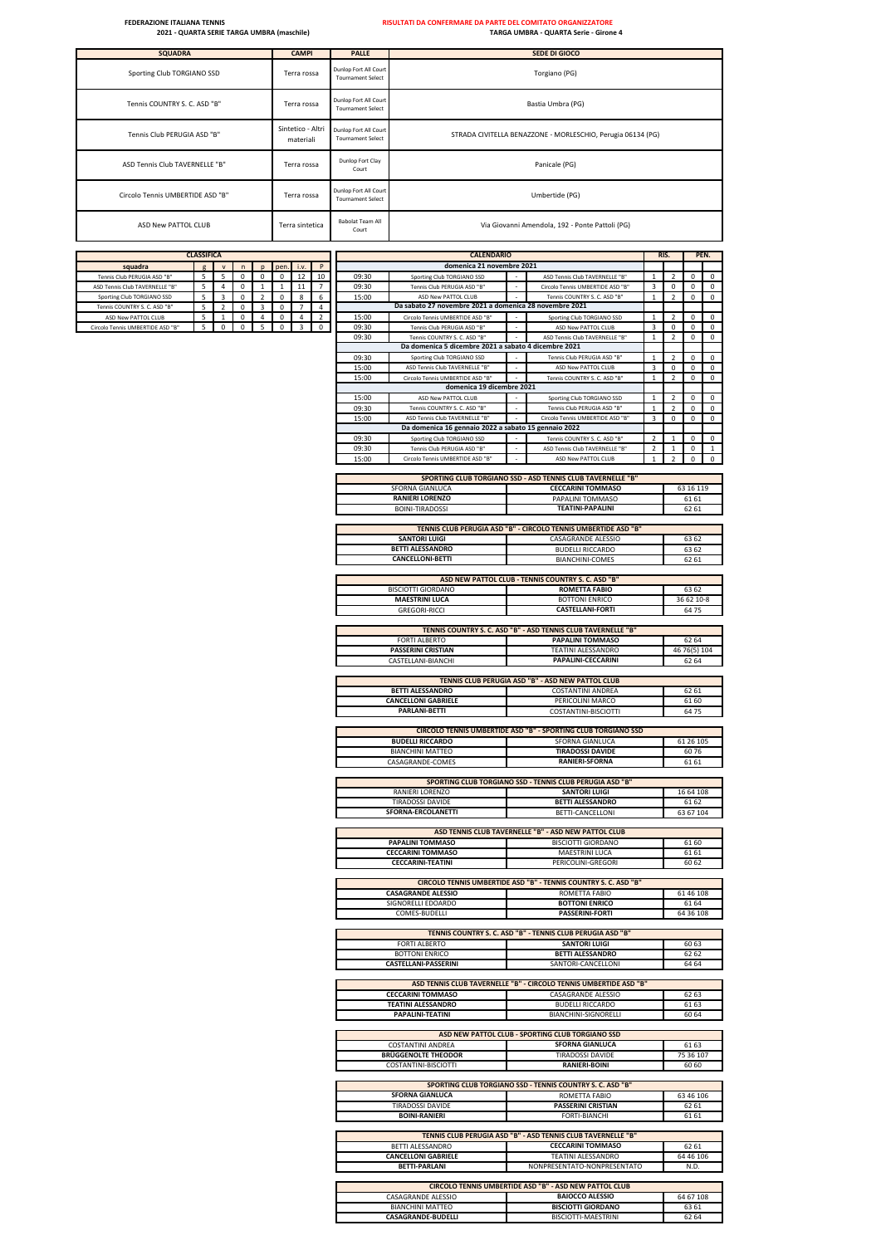| <b>SQUADRA</b>                   | <b>CAMPI</b>                   | <b>PALLE</b>                                      | <b>SEDE DI GIOCO</b>                                        |
|----------------------------------|--------------------------------|---------------------------------------------------|-------------------------------------------------------------|
| Sporting Club TORGIANO SSD       | Terra rossa                    | Dunlop Fort All Court<br><b>Tournament Select</b> | Torgiano (PG)                                               |
| Tennis COUNTRY S. C. ASD "B"     | Terra rossa                    | Dunlop Fort All Court<br><b>Tournament Select</b> | Bastia Umbra (PG)                                           |
| Tennis Club PERUGIA ASD "B"      | Sintetico - Altri<br>materiali | Dunlop Fort All Court<br><b>Tournament Select</b> | STRADA CIVITELLA BENAZZONE - MORLESCHIO, Perugia 06134 (PG) |
| ASD Tennis Club TAVERNELLE "B"   | Terra rossa                    | Dunlop Fort Clay<br>Court                         | Panicale (PG)                                               |
| Circolo Tennis UMBERTIDE ASD "B" | Terra rossa                    | Dunlop Fort All Court<br><b>Tournament Select</b> | Umbertide (PG)                                              |
| ASD New PATTOL CLUB              | Terra sintetica                | Babolat Team All<br>Court                         | Via Giovanni Amendola, 192 - Ponte Pattoli (PG)             |

|                                  | <b>CLASSIFICA</b> |                |             |                          |             |                |                          |                | <b>CALENDARIO</b>                                              |                                                                   |                             | RIS.                    | PEN.          |                  |
|----------------------------------|-------------------|----------------|-------------|--------------------------|-------------|----------------|--------------------------|----------------|----------------------------------------------------------------|-------------------------------------------------------------------|-----------------------------|-------------------------|---------------|------------------|
| squadra                          | g                 | $\mathsf{v}$   | n           | p                        | pen.        | i.v.           | $\mathsf{P}$             |                | domenica 21 novembre 2021                                      |                                                                   |                             |                         |               |                  |
| Tennis Club PERUGIA ASD "B"      | 5                 | 5              | 0           | 0                        | $\mathbf 0$ | 12             | 10                       | 09:30          | Sporting Club TORGIANO SSD                                     | ASD Tennis Club TAVERNELLE "B"                                    | $\mathbf 1$                 | $\overline{2}$          | 0             | 0                |
| ASD Tennis Club TAVERNELLE "B"   | 5                 | 4              | $\mathsf 0$ | $\mathbf{1}$             | $1\,$       | 11             | $\overline{7}$           | 09:30          | Tennis Club PERUGIA ASD "B"                                    | Circolo Tennis UMBERTIDE ASD "B"                                  | 3                           | $\pmb{0}$               | 0             | $\mathsf 0$      |
| Sporting Club TORGIANO SSD       | 5                 | 3              | 0           | 2                        | 0           | 8              | 6                        | 15:00          | ASD New PATTOL CLUB                                            | Tennis COUNTRY S. C. ASD "B"                                      | $\mathbf 1$                 | $\overline{2}$          | 0             | 0                |
| Tennis COUNTRY S. C. ASD "B"     | 5                 | $\overline{2}$ | 0           | 3                        | 0           | $\overline{7}$ | 4                        |                | Da sabato 27 novembre 2021 a domenica 28 novembre 2021         |                                                                   |                             |                         |               |                  |
| ASD New PATTOL CLUB              | 5                 | $\mathbf{1}$   | 0           | 4                        | 0           | 4              | $\overline{\phantom{a}}$ | 15:00          | Circolo Tennis UMBERTIDE ASD "B"                               | Sporting Club TORGIANO SSD                                        | $\mathbf{1}$                | $\mathfrak{p}$          | 0             | 0                |
| Circolo Tennis UMBERTIDE ASD "B" | 5                 | $\mathsf 0$    | $\mathsf 0$ | $\overline{\phantom{a}}$ | $\pmb{0}$   | 3              | $\mathsf 0$              | 09:30          | Tennis Club PERUGIA ASD "B'                                    | ASD New PATTOL CLUB                                               | 3                           | $\mathsf 0$             | $\Omega$      | $\mathsf 0$      |
|                                  |                   |                |             |                          |             |                |                          | 09:30          | Tennis COUNTRY S. C. ASD "B"                                   | ASD Tennis Club TAVERNELLE "B"                                    | $\mathbf 1$                 | $\mathbf 2$             | 0             | $\mathsf 0$      |
|                                  |                   |                |             |                          |             |                |                          |                | Da domenica 5 dicembre 2021 a sabato 4 dicembre 2021           |                                                                   |                             |                         |               |                  |
|                                  |                   |                |             |                          |             |                |                          | 09:30          | Sporting Club TORGIANO SSD                                     | Tennis Club PERUGIA ASD "B"                                       | $\mathbf{1}$                | $\mathfrak{p}$          | $\mathbf 0$   | 0                |
|                                  |                   |                |             |                          |             |                |                          | 15:00          | ASD Tennis Club TAVERNELLE "B"                                 | ASD New PATTOL CLUB                                               | 3                           | 0                       | 0             | 0                |
|                                  |                   |                |             |                          |             |                |                          | 15:00          | Circolo Tennis UMBERTIDE ASD "B"                               | Tennis COUNTRY S. C. ASD "B"                                      | $\mathbf{1}$                | $\overline{2}$          | $\mathsf 0$   | $\mathbf{0}$     |
|                                  |                   |                |             |                          |             |                |                          |                | domenica 19 dicembre 2021<br>ASD New PATTOL CLUB               |                                                                   |                             | $\mathcal{P}$           | $\mathbf 0$   |                  |
|                                  |                   |                |             |                          |             |                |                          | 15:00<br>09:30 |                                                                | Sporting Club TORGIANO SSD<br>Tennis Club PERUGIA ASD "B'         | $\mathbf 1$<br>$\mathbf{1}$ | $\mathfrak{p}$          |               | $\mathsf 0$<br>0 |
|                                  |                   |                |             |                          |             |                |                          | 15:00          | Tennis COUNTRY S. C. ASD "B"<br>ASD Tennis Club TAVERNELLE "B" | Circolo Tennis UMBERTIDE ASD "B"                                  | 3                           | 0                       | 0<br>0        | $\mathbf 0$      |
|                                  |                   |                |             |                          |             |                |                          |                | Da domenica 16 gennaio 2022 a sabato 15 gennaio 2022           |                                                                   |                             |                         |               |                  |
|                                  |                   |                |             |                          |             |                |                          | 09:30          | Sporting Club TORGIANO SSD                                     | Tennis COUNTRY S. C. ASD "B"                                      | $\overline{2}$              | $\mathbf{1}$            | 0             | 0                |
|                                  |                   |                |             |                          |             |                |                          | 09:30          | Tennis Club PERUGIA ASD "B"                                    | ASD Tennis Club TAVERNELLE "B"                                    | $\overline{\phantom{a}}$    | $\mathbf{1}$            | $\pmb{0}$     | -1               |
|                                  |                   |                |             |                          |             |                |                          | 15:00          | Circolo Tennis UMBERTIDE ASD "B"                               | ASD New PATTOL CLUB                                               | $\mathbf{1}$                | $\overline{\mathbf{2}}$ | 0             | 0                |
|                                  |                   |                |             |                          |             |                |                          |                |                                                                |                                                                   |                             |                         |               |                  |
|                                  |                   |                |             |                          |             |                |                          |                |                                                                | SPORTING CLUB TORGIANO SSD - ASD TENNIS CLUB TAVERNELLE "B"       |                             |                         |               |                  |
|                                  |                   |                |             |                          |             |                |                          |                | SFORNA GIANLUCA                                                | <b>CECCARINI TOMMASO</b>                                          |                             |                         | 63 16 119     |                  |
|                                  |                   |                |             |                          |             |                |                          |                | <b>RANIERI LORENZO</b>                                         | PAPALINI TOMMASO                                                  |                             |                         | 61 61         |                  |
|                                  |                   |                |             |                          |             |                |                          |                | <b>BOINI-TIRADOSSI</b>                                         | <b>TEATINI-PAPALINI</b>                                           |                             |                         | 62 61         |                  |
|                                  |                   |                |             |                          |             |                |                          |                |                                                                |                                                                   |                             |                         |               |                  |
|                                  |                   |                |             |                          |             |                |                          |                |                                                                | TENNIS CLUB PERUGIA ASD "B" - CIRCOLO TENNIS UMBERTIDE ASD "B"    |                             |                         |               |                  |
|                                  |                   |                |             |                          |             |                |                          |                | <b>SANTORI LUIGI</b>                                           | CASAGRANDE ALESSIO                                                |                             |                         | 63 62         |                  |
|                                  |                   |                |             |                          |             |                |                          |                | <b>BETTI ALESSANDRO</b>                                        | <b>BUDELLI RICCARDO</b>                                           |                             |                         | 63 62         |                  |
|                                  |                   |                |             |                          |             |                |                          |                | <b>CANCELLONI-BETTI</b>                                        | <b>BIANCHINI-COMES</b>                                            |                             |                         | 62 61         |                  |
|                                  |                   |                |             |                          |             |                |                          |                |                                                                |                                                                   |                             |                         |               |                  |
|                                  |                   |                |             |                          |             |                |                          |                |                                                                | ASD NEW PATTOL CLUB - TENNIS COUNTRY S. C. ASD "B"                |                             |                         |               |                  |
|                                  |                   |                |             |                          |             |                |                          |                | <b>BISCIOTTI GIORDANO</b>                                      | <b>ROMETTA FABIO</b>                                              |                             |                         | 63 62         |                  |
|                                  |                   |                |             |                          |             |                |                          |                | <b>MAESTRINI LUCA</b>                                          | <b>BOTTONI ENRICO</b>                                             |                             |                         | 36 62 10-8    |                  |
|                                  |                   |                |             |                          |             |                |                          |                | <b>GREGORI-RICCI</b>                                           | <b>CASTELLANI-FORTI</b>                                           |                             |                         | 64 75         |                  |
|                                  |                   |                |             |                          |             |                |                          |                |                                                                |                                                                   |                             |                         |               |                  |
|                                  |                   |                |             |                          |             |                |                          |                |                                                                | TENNIS COUNTRY S. C. ASD "B" - ASD TENNIS CLUB TAVERNELLE "B"     |                             |                         |               |                  |
|                                  |                   |                |             |                          |             |                |                          |                | <b>FORTI ALBERTO</b>                                           | PAPALINI TOMMASO                                                  |                             |                         | 62 64         |                  |
|                                  |                   |                |             |                          |             |                |                          |                | <b>PASSERINI CRISTIAN</b>                                      | <b>TEATINI ALESSANDRO</b>                                         |                             |                         | 46 76(5) 104  |                  |
|                                  |                   |                |             |                          |             |                |                          |                | CASTELLANI-BIANCHI                                             | PAPALINI-CECCARINI                                                |                             |                         | 62 64         |                  |
|                                  |                   |                |             |                          |             |                |                          |                |                                                                |                                                                   |                             |                         |               |                  |
|                                  |                   |                |             |                          |             |                |                          |                |                                                                | TENNIS CLUB PERUGIA ASD "B" - ASD NEW PATTOL CLUB                 |                             |                         |               |                  |
|                                  |                   |                |             |                          |             |                |                          |                | <b>BETTI ALESSANDRO</b>                                        | <b>COSTANTINI ANDREA</b>                                          |                             |                         | 62 61         |                  |
|                                  |                   |                |             |                          |             |                |                          |                | <b>CANCELLONI GABRIELE</b>                                     | PERICOLINI MARCO                                                  |                             |                         | 61 60         |                  |
|                                  |                   |                |             |                          |             |                |                          |                | <b>PARLANI-BETTI</b>                                           | COSTANTINI-BISCIOTTI                                              |                             |                         | 64 75         |                  |
|                                  |                   |                |             |                          |             |                |                          |                |                                                                | CIRCOLO TENNIS UMBERTIDE ASD "B" - SPORTING CLUB TORGIANO SSD     |                             |                         |               |                  |
|                                  |                   |                |             |                          |             |                |                          |                | <b>BUDELLI RICCARDO</b>                                        | SFORNA GIANLUCA                                                   |                             |                         |               |                  |
|                                  |                   |                |             |                          |             |                |                          |                |                                                                |                                                                   |                             |                         | 61 26 105     |                  |
|                                  |                   |                |             |                          |             |                |                          |                | <b>BIANCHINI MATTEO</b><br>CASAGRANDE-COMES                    | <b>TIRADOSSI DAVIDE</b><br><b>RANIERI-SFORNA</b>                  |                             |                         | 6076<br>61 61 |                  |
|                                  |                   |                |             |                          |             |                |                          |                |                                                                |                                                                   |                             |                         |               |                  |
|                                  |                   |                |             |                          |             |                |                          |                |                                                                | SPORTING CLUB TORGIANO SSD - TENNIS CLUB PERUGIA ASD "B"          |                             |                         |               |                  |
|                                  |                   |                |             |                          |             |                |                          |                | RANIERI LORENZO                                                | <b>SANTORI LUIGI</b>                                              |                             |                         | 16 64 108     |                  |
|                                  |                   |                |             |                          |             |                |                          |                | <b>TIRADOSSI DAVIDE</b>                                        | <b>BETTI ALESSANDRO</b>                                           |                             |                         | 61 62         |                  |
|                                  |                   |                |             |                          |             |                |                          |                | SFORNA-ERCOLANETTI                                             | BETTI-CANCELLONI                                                  |                             |                         | 63 67 104     |                  |
|                                  |                   |                |             |                          |             |                |                          |                |                                                                |                                                                   |                             |                         |               |                  |
|                                  |                   |                |             |                          |             |                |                          |                |                                                                | ASD TENNIS CLUB TAVERNELLE "B" - ASD NEW PATTOL CLUB              |                             |                         |               |                  |
|                                  |                   |                |             |                          |             |                |                          |                | PAPALINI TOMMASO                                               | <b>BISCIOTTI GIORDANO</b>                                         |                             |                         | 61 60         |                  |
|                                  |                   |                |             |                          |             |                |                          |                | <b>CECCARINI TOMMASO</b>                                       | MAESTRINI LUCA                                                    |                             |                         | 61 61         |                  |
|                                  |                   |                |             |                          |             |                |                          |                | <b>CECCARINI-TEATINI</b>                                       | PERICOLINI-GREGORI                                                |                             |                         | 60 62         |                  |
|                                  |                   |                |             |                          |             |                |                          |                |                                                                |                                                                   |                             |                         |               |                  |
|                                  |                   |                |             |                          |             |                |                          |                |                                                                | CIRCOLO TENNIS UMBERTIDE ASD "B" - TENNIS COUNTRY S. C. ASD "B"   |                             |                         |               |                  |
|                                  |                   |                |             |                          |             |                |                          |                | <b>CASAGRANDE ALESSIO</b>                                      | ROMETTA FABIO                                                     |                             |                         | 61 46 108     |                  |
|                                  |                   |                |             |                          |             |                |                          |                | SIGNORELLI EDOARDO                                             | <b>BOTTONI ENRICO</b>                                             |                             |                         | 61 64         |                  |
|                                  |                   |                |             |                          |             |                |                          |                | <b>COMES-BUDELLI</b>                                           | PASSEKINI-FUKI I                                                  |                             |                         | 64 36 TOS     |                  |
|                                  |                   |                |             |                          |             |                |                          |                |                                                                |                                                                   |                             |                         |               |                  |
|                                  |                   |                |             |                          |             |                |                          |                |                                                                | TENNIS COUNTRY S. C. ASD "B" - TENNIS CLUB PERUGIA ASD "B"        |                             |                         |               |                  |
|                                  |                   |                |             |                          |             |                |                          |                | <b>FORTI ALBERTO</b>                                           | <b>SANTORI LUIGI</b>                                              |                             |                         | 60 63         |                  |
|                                  |                   |                |             |                          |             |                |                          |                | <b>BOTTONI ENRICO</b>                                          | <b>BETTI ALESSANDRO</b>                                           |                             |                         | 62 62         |                  |
|                                  |                   |                |             |                          |             |                |                          |                | <b>CASTELLANI-PASSERINI</b>                                    | SANTORI-CANCELLONI                                                |                             |                         | 64 64         |                  |
|                                  |                   |                |             |                          |             |                |                          |                |                                                                | ASD TENNIS CLUB TAVERNELLE "B" - CIRCOLO TENNIS UMBERTIDE ASD "B" |                             |                         |               |                  |
|                                  |                   |                |             |                          |             |                |                          |                | <b>CECCARINI TOMMASO</b>                                       | CASAGRANDE ALESSIO                                                |                             |                         | 62 63         |                  |
|                                  |                   |                |             |                          |             |                |                          |                | <b>TEATINI ALESSANDRO</b>                                      | <b>BUDELLI RICCARDO</b>                                           |                             |                         | 61 63         |                  |
|                                  |                   |                |             |                          |             |                |                          |                | <b>PAPALINI-TEATINI</b>                                        | BIANCHINI-SIGNORELLI                                              |                             |                         | 60 64         |                  |
|                                  |                   |                |             |                          |             |                |                          |                |                                                                |                                                                   |                             |                         |               |                  |
|                                  |                   |                |             |                          |             |                |                          |                |                                                                | ASD NEW PATTOL CLUB - SPORTING CLUB TORGIANO SSD                  |                             |                         |               |                  |
|                                  |                   |                |             |                          |             |                |                          |                | <b>COSTANTINI ANDREA</b>                                       | <b>SFORNA GIANLUCA</b>                                            |                             |                         | 61 63         |                  |
|                                  |                   |                |             |                          |             |                |                          |                | <b>BRÜGGENOLTE THEODOR</b>                                     | <b>TIRADOSSI DAVIDE</b>                                           |                             |                         | 75 36 107     |                  |
|                                  |                   |                |             |                          |             |                |                          |                | COSTANTINI-BISCIOTTI                                           | <b>RANIERI-BOINI</b>                                              |                             |                         | 60 60         |                  |
|                                  |                   |                |             |                          |             |                |                          |                |                                                                |                                                                   |                             |                         |               |                  |
|                                  |                   |                |             |                          |             |                |                          |                |                                                                | SPORTING CLUB TORGIANO SSD - TENNIS COUNTRY S. C. ASD "B"         |                             |                         |               |                  |
|                                  |                   |                |             |                          |             |                |                          |                | <b>SFORNA GIANLUCA</b>                                         | ROMETTA FABIO                                                     |                             |                         | 63 46 106     |                  |
|                                  |                   |                |             |                          |             |                |                          |                | TIRADOSSI DAVIDE                                               | <b>PASSERINI CRISTIAN</b>                                         |                             |                         | 62 61         |                  |
|                                  |                   |                |             |                          |             |                |                          |                | <b>BOINI-RANIERI</b>                                           | FORTI-BIANCHI                                                     |                             |                         | 61 61         |                  |
|                                  |                   |                |             |                          |             |                |                          |                |                                                                |                                                                   |                             |                         |               |                  |
|                                  |                   |                |             |                          |             |                |                          |                |                                                                | TENNIS CLUB PERUGIA ASD "B" - ASD TENNIS CLUB TAVERNELLE "B"      |                             |                         |               |                  |
|                                  |                   |                |             |                          |             |                |                          |                | BETTI ALESSANDRO                                               | <b>CECCARINI TOMMASO</b>                                          |                             |                         | 62 61         |                  |
|                                  |                   |                |             |                          |             |                |                          |                | <b>CANCELLONI GABRIELE</b>                                     | <b>TEATINI ALESSANDRO</b>                                         |                             |                         | 64 46 106     |                  |
|                                  |                   |                |             |                          |             |                |                          |                | <b>BETTI-PARLANI</b>                                           | NONPRESENTATO-NONPRESENTATO                                       |                             |                         | N.D.          |                  |
|                                  |                   |                |             |                          |             |                |                          |                |                                                                |                                                                   |                             |                         |               |                  |
|                                  |                   |                |             |                          |             |                |                          |                |                                                                | CIRCOLO TENNIS UMBERTIDE ASD "B" - ASD NEW PATTOL CLUB            |                             |                         |               |                  |
|                                  |                   |                |             |                          |             |                |                          |                | CASAGRANDE ALESSIO                                             | <b>BAIOCCO ALESSIO</b>                                            |                             |                         | 64 67 108     |                  |
|                                  |                   |                |             |                          |             |                |                          |                | <b>BIANCHINI MATTEO</b>                                        | <b>BISCIOTTI GIORDANO</b>                                         |                             |                         | 63 61         |                  |
|                                  |                   |                |             |                          |             |                |                          |                | CASAGRANDE-BUDELLI                                             | BISCIOTTI-MAESTRINI                                               |                             |                         | 62 64         |                  |

L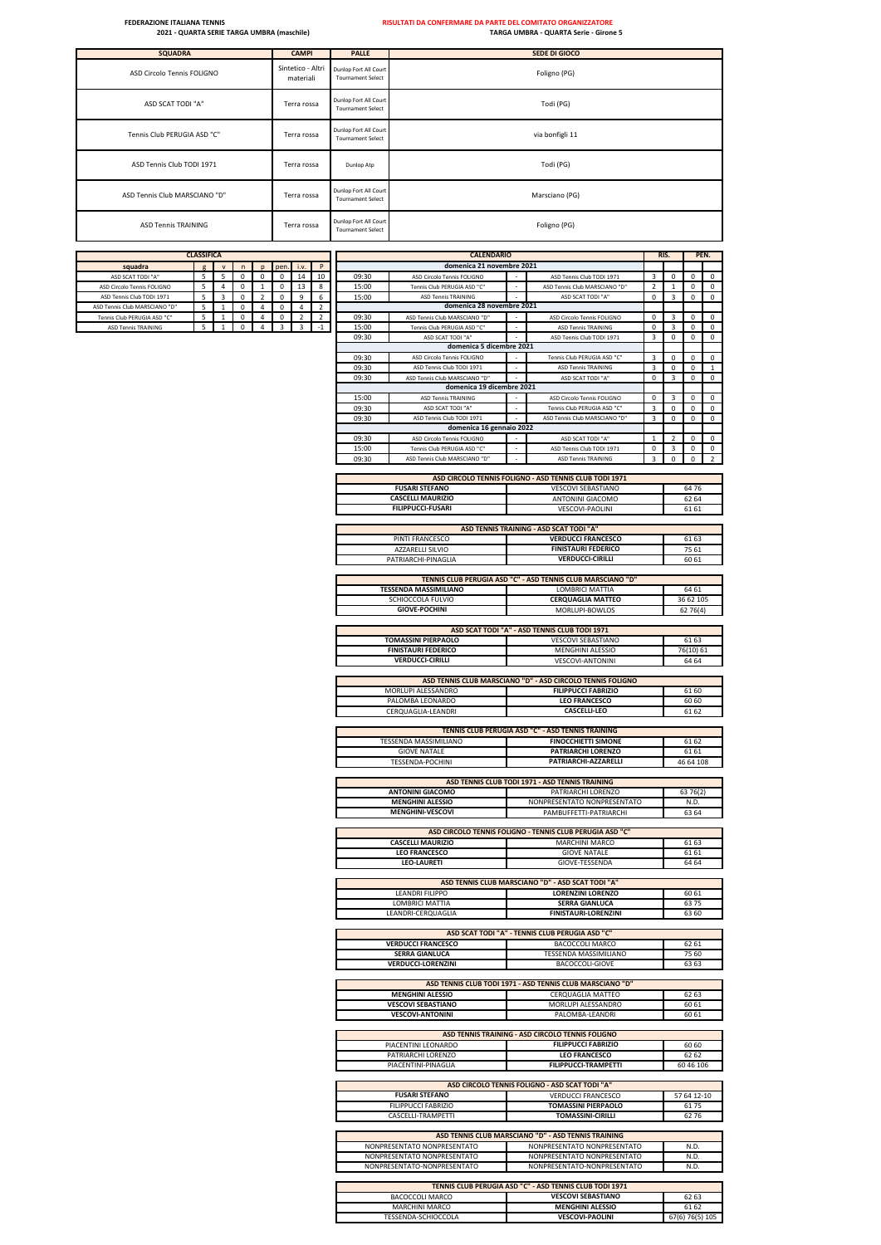| <b>SQUADRA</b>                | <b>CAMPI</b>                   | <b>PALLE</b>                                      | <b>SEDE DI GIOCO</b> |
|-------------------------------|--------------------------------|---------------------------------------------------|----------------------|
| ASD Circolo Tennis FOLIGNO    | Sintetico - Altri<br>materiali | Dunlop Fort All Court<br><b>Tournament Select</b> | Foligno (PG)         |
| ASD SCAT TODI "A"             | Terra rossa                    | Dunlop Fort All Court<br><b>Tournament Select</b> | Todi (PG)            |
| Tennis Club PERUGIA ASD "C"   | Terra rossa                    | Dunlop Fort All Court<br><b>Tournament Select</b> | via bonfigli 11      |
| ASD Tennis Club TODI 1971     | Terra rossa                    | Dunlop Atp                                        | Todi (PG)            |
| ASD Tennis Club MARSCIANO "D" | Terra rossa                    | Dunlop Fort All Court<br><b>Tournament Select</b> | Marsciano (PG)       |
| <b>ASD Tennis TRAINING</b>    | Terra rossa                    | Dunlop Fort All Court<br><b>Tournament Select</b> | Foligno (PG)         |

|                                                            | <b>CLASSIFICA</b> |              |               |                     |               |                |                         |                | <b>CALENDARIO</b>                                         |                                                                             | RIS.                          |                | PEN.                     |                  |
|------------------------------------------------------------|-------------------|--------------|---------------|---------------------|---------------|----------------|-------------------------|----------------|-----------------------------------------------------------|-----------------------------------------------------------------------------|-------------------------------|----------------|--------------------------|------------------|
| squadra                                                    |                   |              | $\mathsf{n}$  | p                   | pen.          | i.v.           | P                       |                | domenica 21 novembre 2021                                 |                                                                             |                               |                |                          |                  |
| ASD SCAT TODI "A"                                          | 5                 | 5            | 0             | 0                   | $\Omega$      | 14             | 10                      | 09:30          | ASD Circolo Tennis FOLIGNO                                | ASD Tennis Club TODI 1971                                                   | 3                             | 0              | 0                        | 0                |
| ASD Circolo Tennis FOLIGNO                                 | 5<br>5            | 4<br>3       | 0<br>$\Omega$ | 1<br>$\overline{2}$ | 0<br>$\Omega$ | 13<br>9        | 8<br>6                  | 15:00<br>15:00 | Tennis Club PERUGIA ASD "C"<br><b>ASD Tennis TRAINING</b> | ASD Tennis Club MARSCIANO "D"<br>ASD SCAT TODI "A"                          | $\overline{2}$<br>$\mathsf 0$ | 1<br>3         | 0<br>$\mathsf 0$         | 0<br>$\mathsf 0$ |
| ASD Tennis Club TODI 1971<br>ASD Tennis Club MARSCIANO "D' | 5                 | $\mathbf{1}$ | 0             | 4                   | 0             | 4              | $\overline{\mathbf{c}}$ |                | domenica 28 novembre 2021                                 |                                                                             |                               |                |                          |                  |
| Tennis Club PERUGIA ASD "C"                                | 5                 | $\mathbf{1}$ | 0             | $\overline{4}$      | $\mathsf 0$   | $\overline{2}$ | $\overline{2}$          | 09:30          | ASD Tennis Club MARSCIANO "D"                             | ASD Circolo Tennis FOLIGNO                                                  | 0                             | 3              | 0                        | 0                |
| <b>ASD Tennis TRAINING</b>                                 | 5                 | $\mathbf{1}$ | $\mathbf 0$   | $\overline{4}$      | 3             | 3              | $-1$                    | 15:00          | Tennis Club PERUGIA ASD "C"                               | <b>ASD Tennis TRAININ</b>                                                   | 0                             | 3              | 0                        | 0                |
|                                                            |                   |              |               |                     |               |                |                         | 09:30          | ASD SCAT TODI "A"<br>domenica 5 dicembre 2021             | ASD Tennis Club TODI 1971                                                   | 3                             | $\pmb{0}$      | 0                        | 0                |
|                                                            |                   |              |               |                     |               |                |                         | 09:30          | ASD Circolo Tennis FOLIGNO                                | Tennis Club PERUGIA ASD "C"                                                 | 3                             | 0              | 0                        | 0                |
|                                                            |                   |              |               |                     |               |                |                         | 09:30          | ASD Tennis Club TODI 1971                                 | <b>ASD Tennis TRAINING</b>                                                  | 3                             | $\mathbf 0$    | $\mathbf 0$              | $\mathbf{1}$     |
|                                                            |                   |              |               |                     |               |                |                         | 09:30          | ASD Tennis Club MARSCIANO "D'                             | ASD SCAT TODI "A"                                                           | 0                             | 3              | 0                        | 0                |
|                                                            |                   |              |               |                     |               |                |                         |                | domenica 19 dicembre 2021                                 |                                                                             |                               |                |                          |                  |
|                                                            |                   |              |               |                     |               |                |                         | 15:00          | <b>ASD Tennis TRAINING</b>                                | ASD Circolo Tennis FOLIGNO                                                  | 0                             | 3              | 0                        | $\Omega$         |
|                                                            |                   |              |               |                     |               |                |                         | 09:30          | ASD SCAT TODI "A"                                         | Tennis Club PERUGIA ASD "C                                                  | 3                             | $\mathsf 0$    | $\pmb{0}$                | $\Omega$         |
|                                                            |                   |              |               |                     |               |                |                         | 09:30          | ASD Tennis Club TODI 1971                                 | ASD Tennis Club MARSCIANO "D"                                               | 3                             | $\pmb{0}$      | 0                        | 0                |
|                                                            |                   |              |               |                     |               |                |                         | 09:30          | domenica 16 gennaio 2022<br>ASD Circolo Tennis FOLIGNO    | ASD SCAT TODI "A"                                                           | $\mathbf{1}$                  | $\overline{2}$ | $\mathbf 0$              | $\Omega$         |
|                                                            |                   |              |               |                     |               |                |                         | 15:00          | Tennis Club PERUGIA ASD "C'                               | ASD Tennis Club TODI 1971                                                   | 0                             | 3              | 0                        | 0                |
|                                                            |                   |              |               |                     |               |                |                         | 09:30          | ASD Tennis Club MARSCIANO "D"                             | <b>ASD Tennis TRAINING</b>                                                  | 3                             | $\mathsf 0$    | $\mathsf 0$              | $\mathcal{P}$    |
|                                                            |                   |              |               |                     |               |                |                         |                |                                                           |                                                                             |                               |                |                          |                  |
|                                                            |                   |              |               |                     |               |                |                         |                |                                                           | ASD CIRCOLO TENNIS FOLIGNO - ASD TENNIS CLUB TODI 1971                      |                               |                |                          |                  |
|                                                            |                   |              |               |                     |               |                |                         |                | <b>FUSARI STEFANO</b><br><b>CASCELLI MAURIZIO</b>         | <b>VESCOVI SEBASTIANO</b><br>ANTONINI GIACOMO                               |                               |                | 6476<br>62 64            |                  |
|                                                            |                   |              |               |                     |               |                |                         |                | <b>FILIPPUCCI-FUSARI</b>                                  | VESCOVI-PAOLINI                                                             |                               |                | 61 61                    |                  |
|                                                            |                   |              |               |                     |               |                |                         |                |                                                           |                                                                             |                               |                |                          |                  |
|                                                            |                   |              |               |                     |               |                |                         |                |                                                           | ASD TENNIS TRAINING - ASD SCAT TODI "A"                                     |                               |                |                          |                  |
|                                                            |                   |              |               |                     |               |                |                         |                | PINTI FRANCESCO                                           | <b>VERDUCCI FRANCESCO</b>                                                   |                               |                | 61 63                    |                  |
|                                                            |                   |              |               |                     |               |                |                         |                | <b>AZZARELLI SILVIO</b>                                   | <b>FINISTAURI FEDERICO</b>                                                  |                               |                | 75 61                    |                  |
|                                                            |                   |              |               |                     |               |                |                         |                | PATRIARCHI-PINAGLIA                                       | <b>VERDUCCI-CIRILLI</b>                                                     |                               |                | 60 61                    |                  |
|                                                            |                   |              |               |                     |               |                |                         |                |                                                           | TENNIS CLUB PERUGIA ASD "C" - ASD TENNIS CLUB MARSCIANO "D"                 |                               |                |                          |                  |
|                                                            |                   |              |               |                     |               |                |                         |                | <b>TESSENDA MASSIMILIANO</b>                              | LOMBRICI MATTIA                                                             |                               |                | 64 61                    |                  |
|                                                            |                   |              |               |                     |               |                |                         |                | SCHIOCCOLA FULVIO                                         | <b>CERQUAGLIA MATTEO</b>                                                    |                               |                | 36 62 105                |                  |
|                                                            |                   |              |               |                     |               |                |                         |                | <b>GIOVE-POCHINI</b>                                      | MORLUPI-BOWLOS                                                              |                               |                | 62 76(4)                 |                  |
|                                                            |                   |              |               |                     |               |                |                         |                |                                                           |                                                                             |                               |                |                          |                  |
|                                                            |                   |              |               |                     |               |                |                         |                | <b>TOMASSINI PIERPAOLO</b>                                | ASD SCAT TODI "A" - ASD TENNIS CLUB TODI 1971<br><b>VESCOVI SEBASTIANO</b>  |                               |                | 61 63                    |                  |
|                                                            |                   |              |               |                     |               |                |                         |                | <b>FINISTAURI FEDERICO</b>                                | MENGHINI ALESSIO                                                            |                               |                | 76(10) 61                |                  |
|                                                            |                   |              |               |                     |               |                |                         |                | <b>VERDUCCI-CIRILLI</b>                                   | <b>VESCOVI-ANTONINI</b>                                                     |                               |                | 64 64                    |                  |
|                                                            |                   |              |               |                     |               |                |                         |                |                                                           |                                                                             |                               |                |                          |                  |
|                                                            |                   |              |               |                     |               |                |                         |                |                                                           | ASD TENNIS CLUB MARSCIANO "D" - ASD CIRCOLO TENNIS FOLIGNO                  |                               |                |                          |                  |
|                                                            |                   |              |               |                     |               |                |                         |                | MORLUPI ALESSANDRO                                        | <b>FILIPPUCCI FABRIZIO</b>                                                  |                               |                | 61 60                    |                  |
|                                                            |                   |              |               |                     |               |                |                         |                | PALOMBA LEONARDO                                          | <b>LEO FRANCESCO</b>                                                        |                               |                | 60 60                    |                  |
|                                                            |                   |              |               |                     |               |                |                         |                | CERQUAGLIA-LEANDRI                                        | <b>CASCELLI-LEO</b>                                                         |                               |                | 61 62                    |                  |
|                                                            |                   |              |               |                     |               |                |                         |                |                                                           | TENNIS CLUB PERUGIA ASD "C" - ASD TENNIS TRAINING                           |                               |                |                          |                  |
|                                                            |                   |              |               |                     |               |                |                         |                | TESSENDA MASSIMILIANO                                     | <b>FINOCCHIETTI SIMONE</b>                                                  |                               |                | 61 62                    |                  |
|                                                            |                   |              |               |                     |               |                |                         |                | <b>GIOVE NATALE</b>                                       | <b>PATRIARCHI LORENZO</b>                                                   |                               |                | 61 61                    |                  |
|                                                            |                   |              |               |                     |               |                |                         |                | <b>TESSENDA-POCHINI</b>                                   | PATRIARCHI-AZZARELLI                                                        |                               |                | 46 64 108                |                  |
|                                                            |                   |              |               |                     |               |                |                         |                |                                                           |                                                                             |                               |                |                          |                  |
|                                                            |                   |              |               |                     |               |                |                         |                | <b>ANTONINI GIACOMO</b>                                   | ASD TENNIS CLUB TODI 1971 - ASD TENNIS TRAINING<br>PATRIARCHI LORENZO       |                               |                | 63 76(2)                 |                  |
|                                                            |                   |              |               |                     |               |                |                         |                | <b>MENGHINI ALESSIO</b>                                   | NONPRESENTATO NONPRESENTATO                                                 |                               |                | N.D.                     |                  |
|                                                            |                   |              |               |                     |               |                |                         |                | <b>MENGHINI-VESCOVI</b>                                   | PAMBUFFETTI-PATRIARCHI                                                      |                               |                | 63 64                    |                  |
|                                                            |                   |              |               |                     |               |                |                         |                |                                                           |                                                                             |                               |                |                          |                  |
|                                                            |                   |              |               |                     |               |                |                         |                |                                                           | ASD CIRCOLO TENNIS FOLIGNO - TENNIS CLUB PERUGIA ASD "C'                    |                               |                |                          |                  |
|                                                            |                   |              |               |                     |               |                |                         |                | <b>CASCELLI MAURIZIO</b>                                  | <b>MARCHINI MARCO</b>                                                       |                               |                | 61 63                    |                  |
|                                                            |                   |              |               |                     |               |                |                         |                | <b>LEO FRANCESCO</b><br><b>LEO-LAURETI</b>                | <b>GIOVE NATALE</b><br>GIOVE-TESSENDA                                       |                               |                | 61 61<br>64 64           |                  |
|                                                            |                   |              |               |                     |               |                |                         |                |                                                           |                                                                             |                               |                |                          |                  |
|                                                            |                   |              |               |                     |               |                |                         |                |                                                           | ASD TENNIS CLUB MARSCIANO "D" - ASD SCAT TODI "A"                           |                               |                |                          |                  |
|                                                            |                   |              |               |                     |               |                |                         |                | <b>I FANDRI FILIPPO</b>                                   | <b>LORENZINI LORENZO</b>                                                    |                               |                | 60 61                    |                  |
|                                                            |                   |              |               |                     |               |                |                         |                | LOMBRICI MATTIA                                           | <b>SERRA GIANLUCA</b>                                                       |                               |                | 63 75                    |                  |
|                                                            |                   |              |               |                     |               |                |                         |                | LEANDRI-CERQUAGLIA                                        | <b>FINISTAURI-LORENZINI</b>                                                 |                               |                | 63 60                    |                  |
|                                                            |                   |              |               |                     |               |                |                         |                |                                                           | ASD SCAT TODI "A" - TENNIS CLUB PERUGIA ASD "C"                             |                               |                |                          |                  |
|                                                            |                   |              |               |                     |               |                |                         |                | <b>VERDUCCI FRANCESCO</b>                                 | BACOCCOLI MARCO                                                             |                               |                | 62 61                    |                  |
|                                                            |                   |              |               |                     |               |                |                         |                | <b>SERRA GIANLUCA</b>                                     | TESSENDA MASSIMILIANO                                                       |                               |                | 75 60                    |                  |
|                                                            |                   |              |               |                     |               |                |                         |                | <b>VERDUCCI-LORENZINI</b>                                 | BACOCCOLI-GIOVE                                                             |                               |                | 63 63                    |                  |
|                                                            |                   |              |               |                     |               |                |                         |                |                                                           |                                                                             |                               |                |                          |                  |
|                                                            |                   |              |               |                     |               |                |                         |                |                                                           | ASD TENNIS CLUB TODI 1971 - ASD TENNIS CLUB MARSCIANO "D"                   |                               |                |                          |                  |
|                                                            |                   |              |               |                     |               |                |                         |                | <b>MENGHINI ALESSIO</b><br><b>VESCOVI SEBASTIANO</b>      | CERQUAGLIA MATTEO<br>MORLUPI ALESSANDRO                                     |                               |                | 62 63<br>60 61           |                  |
|                                                            |                   |              |               |                     |               |                |                         |                | <b>VESCOVI-ANTONINI</b>                                   | PALOMBA-LEANDRI                                                             |                               |                | 60 61                    |                  |
|                                                            |                   |              |               |                     |               |                |                         |                |                                                           |                                                                             |                               |                |                          |                  |
|                                                            |                   |              |               |                     |               |                |                         |                |                                                           |                                                                             |                               |                |                          |                  |
|                                                            |                   |              |               |                     |               |                |                         |                |                                                           | ASD TENNIS TRAINING - ASD CIRCOLO TENNIS FOLIGNO                            |                               |                |                          |                  |
|                                                            |                   |              |               |                     |               |                |                         |                | PIACENTINI LEONARDO                                       | <b>FILIPPUCCI FABRIZIO</b>                                                  |                               |                | 60 60                    |                  |
|                                                            |                   |              |               |                     |               |                |                         |                | PATRIARCHI LORENZO                                        | <b>LEO FRANCESCO</b>                                                        |                               |                | 62 62                    |                  |
|                                                            |                   |              |               |                     |               |                |                         |                | PIACENTINI-PINAGLIA                                       | <b>FILIPPUCCI-TRAMPETTI</b>                                                 |                               |                | 60 46 106                |                  |
|                                                            |                   |              |               |                     |               |                |                         |                |                                                           |                                                                             |                               |                |                          |                  |
|                                                            |                   |              |               |                     |               |                |                         |                | <b>FUSARI STEFANO</b>                                     | ASD CIRCOLO TENNIS FOLIGNO - ASD SCAT TODI "A"<br><b>VERDUCCI FRANCESCO</b> |                               |                | 57 64 12-10              |                  |
|                                                            |                   |              |               |                     |               |                |                         |                | FILIPPUCCI FABRIZIO                                       | <b>TOMASSINI PIERPAOLO</b>                                                  |                               |                | 6175                     |                  |
|                                                            |                   |              |               |                     |               |                |                         |                | CASCELLI-TRAMPETTI                                        | <b>TOMASSINI-CIRILLI</b>                                                    |                               |                | 6276                     |                  |
|                                                            |                   |              |               |                     |               |                |                         |                |                                                           |                                                                             |                               |                |                          |                  |
|                                                            |                   |              |               |                     |               |                |                         |                |                                                           | ASD TENNIS CLUB MARSCIANO "D" - ASD TENNIS TRAINING                         |                               |                |                          |                  |
|                                                            |                   |              |               |                     |               |                |                         |                | NONPRESENTATO NONPRESENTATO                               | NONPRESENTATO NONPRESENTATO                                                 |                               |                | N.D.                     |                  |
|                                                            |                   |              |               |                     |               |                |                         |                | NONPRESENTATO NONPRESENTATO                               | NONPRESENTATO NONPRESENTATO                                                 |                               |                | N.D.                     |                  |
|                                                            |                   |              |               |                     |               |                |                         |                | NONPRESENTATO-NONPRESENTATO                               | NONPRESENTATO-NONPRESENTATO                                                 |                               |                | N.D.                     |                  |
|                                                            |                   |              |               |                     |               |                |                         |                |                                                           | TENNIS CLUB PERUGIA ASD "C" - ASD TENNIS CLUB TODI 1971                     |                               |                |                          |                  |
|                                                            |                   |              |               |                     |               |                |                         |                | <b>BACOCCOLI MARCO</b>                                    | <b>VESCOVI SEBASTIANO</b>                                                   |                               |                | 62 63                    |                  |
|                                                            |                   |              |               |                     |               |                |                         |                | MARCHINI MARCO<br>TESSENDA-SCHIOCCOLA                     | <b>MENGHINI ALESSIO</b><br><b>VESCOVI-PAOLINI</b>                           |                               |                | 61 62<br>67(6) 76(5) 105 |                  |